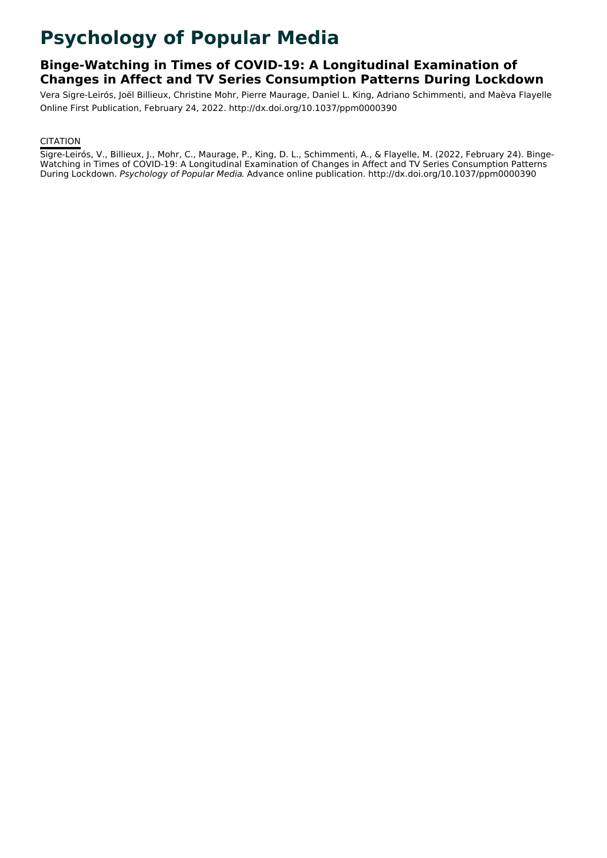# **Psychology of Popular Media**

# **Binge-Watching in Times of COVID-19: A Longitudinal Examination of Changes in Affect and TV Series Consumption Patterns During Lockdown**

Vera Sigre-Leirós, Joël Billieux, Christine Mohr, Pierre Maurage, Daniel L. King, Adriano Schimmenti, and Maèva Flayelle Online First Publication, February 24, 2022. http://dx.doi.org/10.1037/ppm0000390

# **CITATION**

Sigre-Leirós, V., Billieux, J., Mohr, C., Maurage, P., King, D. L., Schimmenti, A., & Flayelle, M. (2022, February 24). Binge- Watching in Times of COVID-19: A Longitudinal Examination of Changes in Affect and TV Series Consumption Patterns During Lockdown. Psychology of Popular Media. Advance online publication. http://dx.doi.org/10.1037/ppm0000390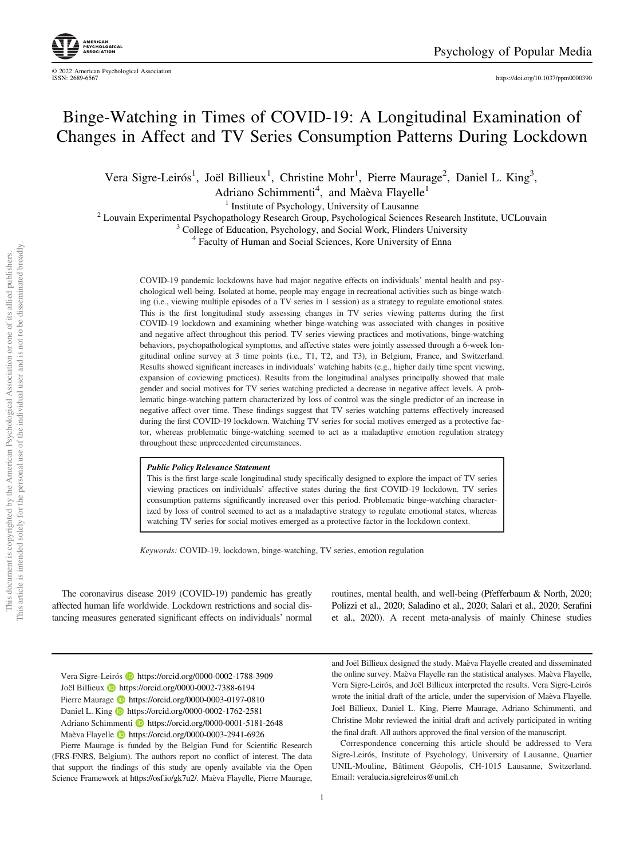<https://doi.org/10.1037/ppm0000390>

# Binge-Watching in Times of COVID-19: A Longitudinal Examination of Changes in Affect and TV Series Consumption Patterns During Lockdown

Vera Sigre-Leirós<sup>1</sup>, Joël Billieux<sup>1</sup>, Christine Mohr<sup>1</sup>, Pierre Maurage<sup>2</sup>, Daniel L. King<sup>3</sup>,

Adriano Schimmenti<sup>4</sup>, and Maèva Flayelle<sup>1</sup>

<sup>1</sup> Institute of Psychology, University of Lausanne<br><sup>2</sup> Louvain Experimental Psychopathology Research Group, Psychological Sciences Research Institute, UCLouvain<br><sup>3</sup> College of Education, Psychology, and Social Work, Flind

COVID-19 pandemic lockdowns have had major negative effects on individuals' mental health and psychological well-being. Isolated at home, people may engage in recreational activities such as binge-watching (i.e., viewing multiple episodes of a TV series in 1 session) as a strategy to regulate emotional states. This is the first longitudinal study assessing changes in TV series viewing patterns during the first COVID-19 lockdown and examining whether binge-watching was associated with changes in positive and negative affect throughout this period. TV series viewing practices and motivations, binge-watching behaviors, psychopathological symptoms, and affective states were jointly assessed through a 6-week longitudinal online survey at 3 time points (i.e., T1, T2, and T3), in Belgium, France, and Switzerland. Results showed significant increases in individuals' watching habits (e.g., higher daily time spent viewing, expansion of coviewing practices). Results from the longitudinal analyses principally showed that male gender and social motives for TV series watching predicted a decrease in negative affect levels. A problematic binge-watching pattern characterized by loss of control was the single predictor of an increase in negative affect over time. These findings suggest that TV series watching patterns effectively increased during the first COVID-19 lockdown. Watching TV series for social motives emerged as a protective factor, whereas problematic binge-watching seemed to act as a maladaptive emotion regulation strategy throughout these unprecedented circumstances.

#### Public Policy Relevance Statement

This is the first large-scale longitudinal study specifically designed to explore the impact of TV series viewing practices on individuals' affective states during the first COVID-19 lockdown. TV series consumption patterns significantly increased over this period. Problematic binge-watching characterized by loss of control seemed to act as a maladaptive strategy to regulate emotional states, whereas watching TV series for social motives emerged as a protective factor in the lockdown context.

Keywords: COVID-19, lockdown, binge-watching, TV series, emotion regulation

The coronavirus disease 2019 (COVID-19) pandemic has greatly affected human life worldwide. Lockdown restrictions and social distancing measures generated significant effects on individuals' normal

Vera Sigre-Leirós **<https://orcid.org/0000-0002-1788-3909>** Joël Billieux **<https://orcid.org/0000-0002-7388-6194>** Pierre Maurage **b** <https://orcid.org/0000-0003-0197-0810> Daniel L. King **b** <https://orcid.org/0000-0002-1762-2581> Adriano Schimmenti **<https://orcid.org/0000-0001-5181-2648>** 

Maèva Flayelle <https://orcid.org/0000-0003-2941-6926>

Pierre Maurage is funded by the Belgian Fund for Scientific Research (FRS-FNRS, Belgium). The authors report no conflict of interest. The data that support the findings of this study are openly available via the Open Science Framework at <https://osf.io/gk7u2/>. Maèva Flayelle, Pierre Maurage,

routines, mental health, and well-being (Pfefferbaum & North, 2020; Polizzi et al., 2020; Saladino et al., 2020; Salari et al., 2020; Serafini et al., 2020). A recent meta-analysis of mainly Chinese studies

and Joël Billieux designed the study. Maèva Flayelle created and disseminated the online survey. Maèva Flayelle ran the statistical analyses. Maèva Flayelle, Vera Sigre-Leirós, and Joël Billieux interpreted the results. Vera Sigre-Leirós wrote the initial draft of the article, under the supervision of Maèva Flayelle. Joël Billieux, Daniel L. King, Pierre Maurage, Adriano Schimmenti, and Christine Mohr reviewed the initial draft and actively participated in writing the final draft. All authors approved the final version of the manuscript.

Correspondence concerning this article should be addressed to Vera Sigre-Leirós, Institute of Psychology, University of Lausanne, Quartier UNIL-Mouline, Bâtiment Géopolis, CH-1015 Lausanne, Switzerland. Email: [veralucia.sigreleiros@unil.ch](mailto:veralucia.sigreleiros@unil.ch)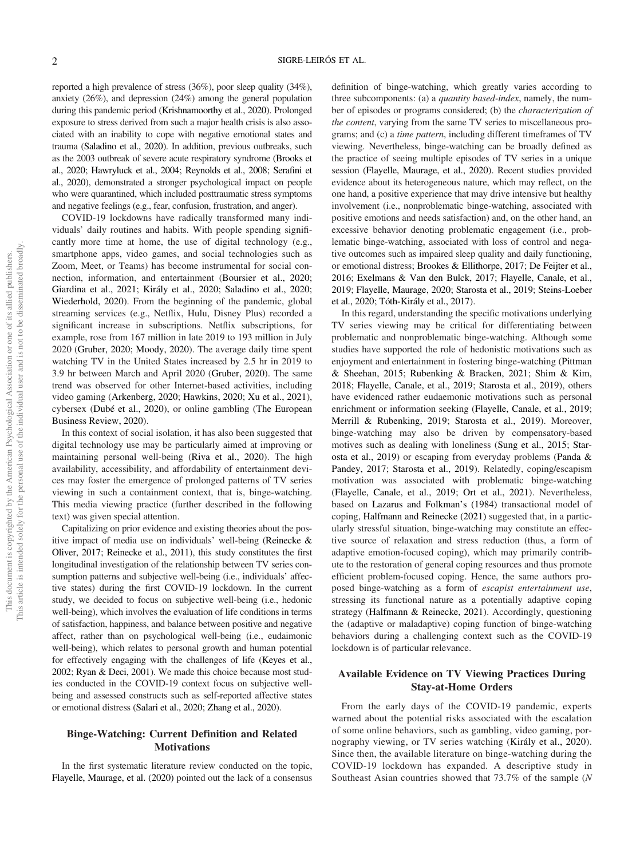reported a high prevalence of stress (36%), poor sleep quality (34%), anxiety (26%), and depression (24%) among the general population during this pandemic period (Krishnamoorthy et al., 2020). Prolonged exposure to stress derived from such a major health crisis is also associated with an inability to cope with negative emotional states and trauma (Saladino et al., 2020). In addition, previous outbreaks, such as the 2003 outbreak of severe acute respiratory syndrome (Brooks et al., 2020; Hawryluck et al., 2004; Reynolds et al., 2008; Serafini et al., 2020), demonstrated a stronger psychological impact on people who were quarantined, which included posttraumatic stress symptoms and negative feelings (e.g., fear, confusion, frustration, and anger).

COVID-19 lockdowns have radically transformed many individuals' daily routines and habits. With people spending significantly more time at home, the use of digital technology (e.g., smartphone apps, video games, and social technologies such as Zoom, Meet, or Teams) has become instrumental for social connection, information, and entertainment (Boursier et al., 2020; Giardina et al., 2021; Király et al., 2020; Saladino et al., 2020; Wiederhold, 2020). From the beginning of the pandemic, global streaming services (e.g., Netflix, Hulu, Disney Plus) recorded a significant increase in subscriptions. Netflix subscriptions, for example, rose from 167 million in late 2019 to 193 million in July 2020 (Gruber, 2020; Moody, 2020). The average daily time spent watching TV in the United States increased by 2.5 hr in 2019 to 3.9 hr between March and April 2020 (Gruber, 2020). The same trend was observed for other Internet-based activities, including video gaming (Arkenberg, 2020; Hawkins, 2020; Xu et al., 2021), cybersex (Dubé et al., 2020), or online gambling (The European Business Review, 2020).

In this context of social isolation, it has also been suggested that digital technology use may be particularly aimed at improving or maintaining personal well-being (Riva et al., 2020). The high availability, accessibility, and affordability of entertainment devices may foster the emergence of prolonged patterns of TV series viewing in such a containment context, that is, binge-watching. This media viewing practice (further described in the following text) was given special attention.

Capitalizing on prior evidence and existing theories about the positive impact of media use on individuals' well-being (Reinecke & Oliver, 2017; Reinecke et al., 2011), this study constitutes the first longitudinal investigation of the relationship between TV series consumption patterns and subjective well-being (i.e., individuals' affective states) during the first COVID-19 lockdown. In the current study, we decided to focus on subjective well-being (i.e., hedonic well-being), which involves the evaluation of life conditions in terms of satisfaction, happiness, and balance between positive and negative affect, rather than on psychological well-being (i.e., eudaimonic well-being), which relates to personal growth and human potential for effectively engaging with the challenges of life (Keyes et al., 2002; Ryan & Deci, 2001). We made this choice because most studies conducted in the COVID-19 context focus on subjective wellbeing and assessed constructs such as self-reported affective states or emotional distress (Salari et al., 2020; Zhang et al., 2020).

#### Binge-Watching: Current Definition and Related **Motivations**

In the first systematic literature review conducted on the topic, Flayelle, Maurage, et al. (2020) pointed out the lack of a consensus definition of binge-watching, which greatly varies according to three subcomponents: (a) a *quantity based-index*, namely, the number of episodes or programs considered; (b) the *characterization of* the content, varying from the same TV series to miscellaneous programs; and (c) a time pattern, including different timeframes of TV viewing. Nevertheless, binge-watching can be broadly defined as the practice of seeing multiple episodes of TV series in a unique session (Flayelle, Maurage, et al., 2020). Recent studies provided evidence about its heterogeneous nature, which may reflect, on the one hand, a positive experience that may drive intensive but healthy involvement (i.e., nonproblematic binge-watching, associated with positive emotions and needs satisfaction) and, on the other hand, an excessive behavior denoting problematic engagement (i.e., problematic binge-watching, associated with loss of control and negative outcomes such as impaired sleep quality and daily functioning, or emotional distress; Brookes & Ellithorpe, 2017; De Feijter et al., 2016; Exelmans & Van den Bulck, 2017; Flayelle, Canale, et al., 2019; Flayelle, Maurage, 2020; Starosta et al., 2019; Steins-Loeber et al., 2020; Tóth-Király et al., 2017).

In this regard, understanding the specific motivations underlying TV series viewing may be critical for differentiating between problematic and nonproblematic binge-watching. Although some studies have supported the role of hedonistic motivations such as enjoyment and entertainment in fostering binge-watching (Pittman & Sheehan, 2015; Rubenking & Bracken, 2021; Shim & Kim, 2018; Flayelle, Canale, et al., 2019; Starosta et al., 2019), others have evidenced rather eudaemonic motivations such as personal enrichment or information seeking (Flayelle, Canale, et al., 2019; Merrill & Rubenking, 2019; Starosta et al., 2019). Moreover, binge-watching may also be driven by compensatory-based motives such as dealing with loneliness (Sung et al., 2015; Starosta et al., 2019) or escaping from everyday problems (Panda & Pandey, 2017; Starosta et al., 2019). Relatedly, coping/escapism motivation was associated with problematic binge-watching (Flayelle, Canale, et al., 2019; Ort et al., 2021). Nevertheless, based on Lazarus and Folkman's (1984) transactional model of coping, Halfmann and Reinecke (2021) suggested that, in a particularly stressful situation, binge-watching may constitute an effective source of relaxation and stress reduction (thus, a form of adaptive emotion-focused coping), which may primarily contribute to the restoration of general coping resources and thus promote efficient problem-focused coping. Hence, the same authors proposed binge-watching as a form of escapist entertainment use, stressing its functional nature as a potentially adaptive coping strategy (Halfmann & Reinecke, 2021). Accordingly, questioning the (adaptive or maladaptive) coping function of binge-watching behaviors during a challenging context such as the COVID-19 lockdown is of particular relevance.

# Available Evidence on TV Viewing Practices During Stay-at-Home Orders

From the early days of the COVID-19 pandemic, experts warned about the potential risks associated with the escalation of some online behaviors, such as gambling, video gaming, pornography viewing, or TV series watching (Király et al., 2020). Since then, the available literature on binge-watching during the COVID-19 lockdown has expanded. A descriptive study in Southeast Asian countries showed that 73.7% of the sample (N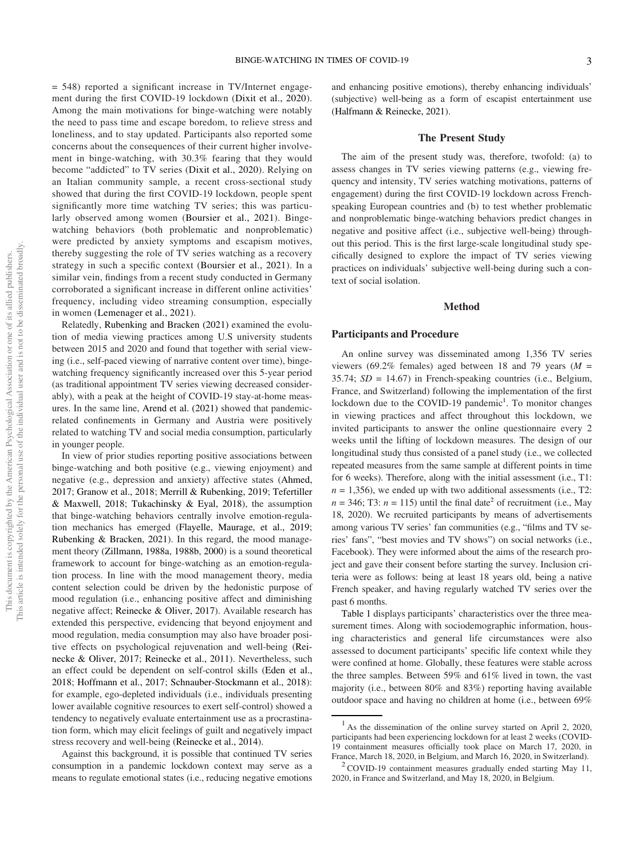and enhancing positive emotions), thereby enhancing individuals' (subjective) well-being as a form of escapist entertainment use (Halfmann & Reinecke, 2021).

#### The Present Study

The aim of the present study was, therefore, twofold: (a) to assess changes in TV series viewing patterns (e.g., viewing frequency and intensity, TV series watching motivations, patterns of engagement) during the first COVID-19 lockdown across Frenchspeaking European countries and (b) to test whether problematic and nonproblematic binge-watching behaviors predict changes in negative and positive affect (i.e., subjective well-being) throughout this period. This is the first large-scale longitudinal study specifically designed to explore the impact of TV series viewing practices on individuals' subjective well-being during such a context of social isolation.

#### Method

#### Participants and Procedure

An online survey was disseminated among 1,356 TV series viewers (69.2% females) aged between 18 and 79 years ( $M =$ 35.74; SD = 14.67) in French-speaking countries (i.e., Belgium, France, and Switzerland) following the implementation of the first lockdown due to the COVID-19 pandemic<sup>1</sup>. To monitor changes in viewing practices and affect throughout this lockdown, we invited participants to answer the online questionnaire every 2 weeks until the lifting of lockdown measures. The design of our longitudinal study thus consisted of a panel study (i.e., we collected repeated measures from the same sample at different points in time for 6 weeks). Therefore, along with the initial assessment (i.e., T1:  $n = 1,356$ ), we ended up with two additional assessments (i.e., T2:  $n = 346$ ; T3:  $n = 115$ ) until the final date<sup>2</sup> of recruitment (i.e., May 18, 2020). We recruited participants by means of advertisements among various TV series' fan communities (e.g., "films and TV series' fans", "best movies and TV shows") on social networks (i.e., Facebook). They were informed about the aims of the research project and gave their consent before starting the survey. Inclusion criteria were as follows: being at least 18 years old, being a native French speaker, and having regularly watched TV series over the past 6 months.

Table 1 displays participants' characteristics over the three measurement times. Along with sociodemographic information, housing characteristics and general life circumstances were also assessed to document participants' specific life context while they were confined at home. Globally, these features were stable across the three samples. Between 59% and 61% lived in town, the vast majority (i.e., between 80% and 83%) reporting having available outdoor space and having no children at home (i.e., between 69%

ment during the first COVID-19 lockdown (Dixit et al., 2020). Among the main motivations for binge-watching were notably the need to pass time and escape boredom, to relieve stress and loneliness, and to stay updated. Participants also reported some concerns about the consequences of their current higher involvement in binge-watching, with 30.3% fearing that they would become "addicted" to TV series (Dixit et al., 2020). Relying on an Italian community sample, a recent cross-sectional study showed that during the first COVID-19 lockdown, people spent significantly more time watching TV series; this was particularly observed among women (Boursier et al., 2021). Bingewatching behaviors (both problematic and nonproblematic) were predicted by anxiety symptoms and escapism motives, thereby suggesting the role of TV series watching as a recovery strategy in such a specific context (Boursier et al., 2021). In a similar vein, findings from a recent study conducted in Germany corroborated a significant increase in different online activities' frequency, including video streaming consumption, especially in women (Lemenager et al., 2021).

= 548) reported a significant increase in TV/Internet engage-

Relatedly, Rubenking and Bracken (2021) examined the evolution of media viewing practices among U.S university students between 2015 and 2020 and found that together with serial viewing (i.e., self-paced viewing of narrative content over time), bingewatching frequency significantly increased over this 5-year period (as traditional appointment TV series viewing decreased considerably), with a peak at the height of COVID-19 stay-at-home measures. In the same line, Arend et al. (2021) showed that pandemicrelated confinements in Germany and Austria were positively related to watching TV and social media consumption, particularly in younger people.

In view of prior studies reporting positive associations between binge-watching and both positive (e.g., viewing enjoyment) and negative (e.g., depression and anxiety) affective states (Ahmed, 2017; Granow et al., 2018; Merrill & Rubenking, 2019; Tefertiller & Maxwell, 2018; Tukachinsky & Eyal, 2018), the assumption that binge-watching behaviors centrally involve emotion-regulation mechanics has emerged (Flayelle, Maurage, et al., 2019; Rubenking & Bracken, 2021). In this regard, the mood management theory (Zillmann, 1988a, [1988b](#page-13-0), [2000](#page-13-1)) is a sound theoretical framework to account for binge-watching as an emotion-regulation process. In line with the mood management theory, media content selection could be driven by the hedonistic purpose of mood regulation (i.e., enhancing positive affect and diminishing negative affect; Reinecke & Oliver, 2017). Available research has extended this perspective, evidencing that beyond enjoyment and mood regulation, media consumption may also have broader positive effects on psychological rejuvenation and well-being (Reinecke & Oliver, 2017; Reinecke et al., 2011). Nevertheless, such an effect could be dependent on self-control skills (Eden et al., 2018; Hoffmann et al., 2017; Schnauber-Stockmann et al., 2018): for example, ego-depleted individuals (i.e., individuals presenting lower available cognitive resources to exert self-control) showed a tendency to negatively evaluate entertainment use as a procrastination form, which may elicit feelings of guilt and negatively impact stress recovery and well-being (Reinecke et al., 2014).

Against this background, it is possible that continued TV series consumption in a pandemic lockdown context may serve as a means to regulate emotional states (i.e., reducing negative emotions

 $1$  As the dissemination of the online survey started on April 2, 2020, participants had been experiencing lockdown for at least 2 weeks (COVID-19 containment measures officially took place on March 17, 2020, in

France, March 18, 2020, in Belgium, and March 16, 2020, in Switzerland).<br><sup>2</sup> COVID-19 containment measures gradually ended starting May 11, 2020, in France and Switzerland, and May 18, 2020, in Belgium.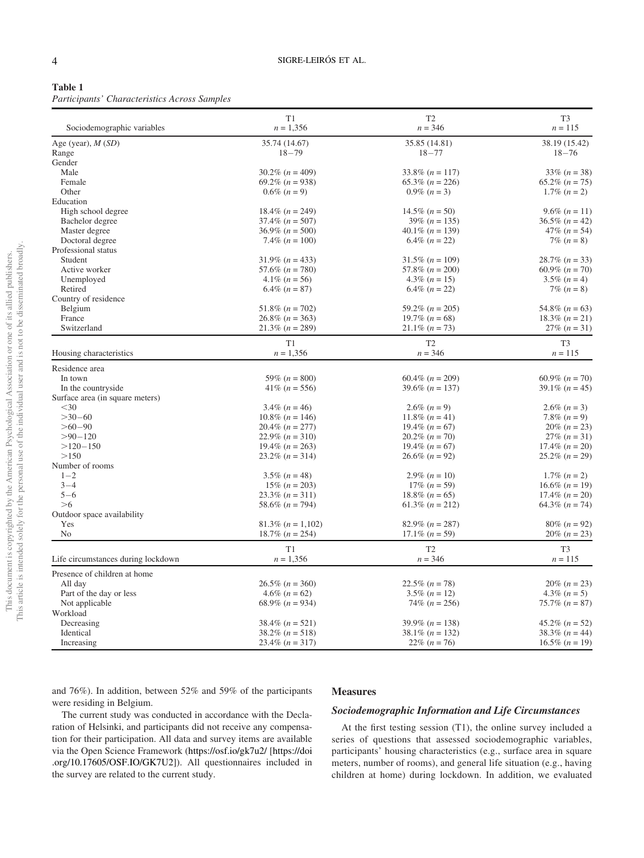| ۰,<br>I<br>× |  |
|--------------|--|
|--------------|--|

Participants' Characteristics Across Samples

| Sociodemographic variables         | T1<br>$n = 1,356$          | T <sub>2</sub><br>$n = 346$ | T <sub>3</sub><br>$n = 115$ |
|------------------------------------|----------------------------|-----------------------------|-----------------------------|
| Age (year), $M(SD)$                | 35.74 (14.67)              | 35.85 (14.81)               | 38.19 (15.42)               |
| Range                              | $18 - 79$                  | $18 - 77$                   | $18 - 76$                   |
| Gender                             |                            |                             |                             |
| Male                               | $30.2\%$ (n = 409)         | $33.8\%$ (n = 117)          | $33\% (n = 38)$             |
| Female                             | 69.2% $(n = 938)$          | $65.3\% (n = 226)$          | $65.2\%$ $(n = 75)$         |
| Other                              | $0.6\%$ $(n = 9)$          | $0.9\%$ $(n=3)$             | 1.7% $(n = 2)$              |
| Education                          |                            |                             |                             |
| High school degree                 | $18.4\%$ (n = 249)         | $14.5\% (n = 50)$           | $9.6\%$ (n = 11)            |
| Bachelor degree                    | $37.4\%$ $(n = 507)$       | $39\% (n = 135)$            | $36.5\%$ (n = 42)           |
| Master degree                      | $36.9\%$ (n = 500)         | 40.1\% $(n = 139)$          | $47\%$ $(n = 54)$           |
| Doctoral degree                    | 7.4\% $(n = 100)$          | $6.4\%$ $(n = 22)$          | $7\% (n = 8)$               |
| Professional status                |                            |                             |                             |
| Student                            | $31.9\% (n = 433)$         | $31.5\%$ (n = 109)          | $28.7\%$ $(n = 33)$         |
| Active worker                      | 57.6% $(n = 780)$          | 57.8% $(n = 200)$           | $60.9\%$ $(n = 70)$         |
| Unemployed                         | $4.1\% (n = 56)$           | $4.3\% (n = 15)$            | $3.5\%$ $(n = 4)$           |
| Retired                            | $6.4\%$ $(n = 87)$         | $6.4\%$ $(n = 22)$          | $7\% (n = 8)$               |
| Country of residence               |                            |                             |                             |
| Belgium                            | 51.8% $(n = 702)$          | 59.2% $(n = 205)$           | 54.8% $(n = 63)$            |
| France                             | $26.8\%$ (n = 363)         | 19.7% $(n = 68)$            | $18.3\% (n=21)$             |
| Switzerland                        | $21.3\% (n = 289)$         | $21.1\% (n = 73)$           | $27\% (n=31)$               |
|                                    | T1                         | T <sub>2</sub>              | T <sub>3</sub>              |
| Housing characteristics            | $n = 1,356$                | $n = 346$                   | $n = 115$                   |
| Residence area                     |                            |                             |                             |
| In town                            | 59% $(n = 800)$            | $60.4\%$ ( $n = 209$ )      | $60.9\%$ $(n = 70)$         |
| In the countryside                 | $41\% (n = 556)$           | $39.6\%$ (n = 137)          | $39.1\% (n = 45)$           |
| Surface area (in square meters)    |                            |                             |                             |
| $30$                               | $3.4\%$ (n = 46)           | $2.6\%$ $(n=9)$             | $2.6\%$ $(n=3)$             |
| $>30 - 60$                         | $10.8\%$ ( <i>n</i> = 146) | 11.8% $(n = 41)$            | 7.8% $(n = 9)$              |
| $>60-90$                           | $20.4\%$ (n = 277)         | 19.4% $(n = 67)$            | $20\% (n = 23)$             |
| $> 90 - 120$                       | $22.9\% (n = 310)$         | $20.2\%$ $(n = 70)$         | $27\% (n=31)$               |
| $>120-150$                         | 19.4\% $(n = 263)$         | $19.4\%$ $(n = 67)$         | $17.4\%$ $(n = 20)$         |
| >150                               | $23.2\%$ (n = 314)         | $26.6\% (n=92)$             | $25.2\%$ $(n = 29)$         |
| Number of rooms                    |                            |                             |                             |
| $1 - 2$                            | $3.5\%$ (n = 48)           | 2.9% $(n = 10)$             | $1.7\%$ $(n=2)$             |
| $3 - 4$                            | $15\% (n = 203)$           | $17\% (n = 59)$             | 16.6% $(n = 19)$            |
| $5 - 6$                            | $23.3\% (n = 311)$         | $18.8\% (n = 65)$           | $17.4\%$ $(n = 20)$         |
| >6                                 | 58.6% $(n = 794)$          | $61.3\%$ (n = 212)          | 64.3% $(n = 74)$            |
| Outdoor space availability         |                            |                             |                             |
| Yes                                | $81.3\%$ (n = 1,102)       | $82.9\%$ $(n = 287)$        | $80\%$ (n = 92)             |
| No                                 | $18.7\%$ (n = 254)         | $17.1\% (n = 59)$           | $20\% (n = 23)$             |
|                                    | T1                         | T <sub>2</sub>              | T <sub>3</sub>              |
| Life circumstances during lockdown | $n = 1,356$                | $n = 346$                   | $n = 115$                   |
| Presence of children at home       |                            |                             |                             |
| All day                            | $26.5\% (n = 360)$         | $22.5\% (n = 78)$           | $20\%$ $(n = 23)$           |
| Part of the day or less            | $4.6\%$ (n = 62)           | $3.5\%$ (n = 12)            | $4.3\%$ $(n = 5)$           |
| Not applicable                     | 68.9% $(n = 934)$          | $74\% (n = 256)$            | $75.7\% (n = 87)$           |
| Workload                           |                            |                             |                             |
| Decreasing                         | $38.4\%$ $(n = 521)$       | 39.9% $(n = 138)$           | $45.2\%$ $(n = 52)$         |
| Identical                          | $38.2\%$ (n = 518)         | $38.1\% (n = 132)$          | $38.3\%$ (n = 44)           |
|                                    |                            |                             | $16.5\% (n = 19)$           |
| Increasing                         | $23.4\%$ $(n = 317)$       | 22\% $(n = 76)$             |                             |

and 76%). In addition, between 52% and 59% of the participants were residing in Belgium.

#### Measures

# Sociodemographic Information and Life Circumstances

The current study was conducted in accordance with the Declaration of Helsinki, and participants did not receive any compensation for their participation. All data and survey items are available via the Open Science Framework (<https://osf.io/gk7u2/> [[https://doi](https://doi.org/10.17605/OSF.IO/GK7U2) [.org/10.17605/OSF.IO/GK7U2\]](https://doi.org/10.17605/OSF.IO/GK7U2)). All questionnaires included in the survey are related to the current study.

At the first testing session (T1), the online survey included a series of questions that assessed sociodemographic variables, participants' housing characteristics (e.g., surface area in square meters, number of rooms), and general life situation (e.g., having children at home) during lockdown. In addition, we evaluated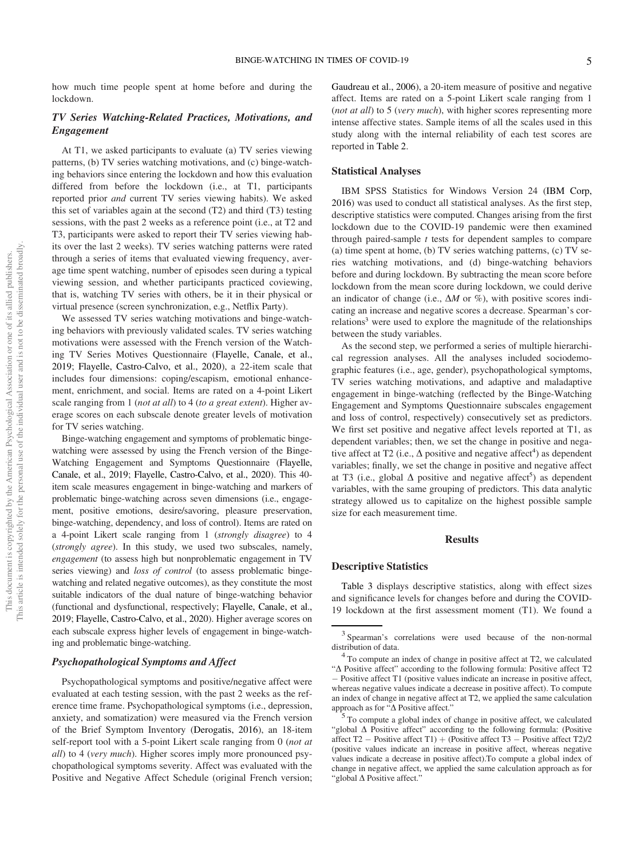how much time people spent at home before and during the lockdown.

# TV Series Watching-Related Practices, Motivations, and Engagement

At T1, we asked participants to evaluate (a) TV series viewing patterns, (b) TV series watching motivations, and (c) binge-watching behaviors since entering the lockdown and how this evaluation differed from before the lockdown (i.e., at T1, participants reported prior and current TV series viewing habits). We asked this set of variables again at the second (T2) and third (T3) testing sessions, with the past 2 weeks as a reference point (i.e., at T2 and T3, participants were asked to report their TV series viewing habits over the last 2 weeks). TV series watching patterns were rated through a series of items that evaluated viewing frequency, average time spent watching, number of episodes seen during a typical viewing session, and whether participants practiced coviewing, that is, watching TV series with others, be it in their physical or virtual presence (screen synchronization, e.g., Netflix Party).

We assessed TV series watching motivations and binge-watching behaviors with previously validated scales. TV series watching motivations were assessed with the French version of the Watching TV Series Motives Questionnaire (Flayelle, Canale, et al., 2019; Flayelle, Castro-Calvo, et al., 2020), a 22-item scale that includes four dimensions: coping/escapism, emotional enhancement, enrichment, and social. Items are rated on a 4-point Likert scale ranging from 1 (not at all) to 4 (to a great extent). Higher average scores on each subscale denote greater levels of motivation for TV series watching.

Binge-watching engagement and symptoms of problematic bingewatching were assessed by using the French version of the Binge-Watching Engagement and Symptoms Questionnaire (Flayelle, Canale, et al., 2019; Flayelle, Castro-Calvo, et al., 2020). This 40 item scale measures engagement in binge-watching and markers of problematic binge-watching across seven dimensions (i.e., engagement, positive emotions, desire/savoring, pleasure preservation, binge-watching, dependency, and loss of control). Items are rated on a 4-point Likert scale ranging from 1 (strongly disagree) to 4 (strongly agree). In this study, we used two subscales, namely, engagement (to assess high but nonproblematic engagement in TV series viewing) and loss of control (to assess problematic bingewatching and related negative outcomes), as they constitute the most suitable indicators of the dual nature of binge-watching behavior (functional and dysfunctional, respectively; Flayelle, Canale, et al., 2019; Flayelle, Castro-Calvo, et al., 2020). Higher average scores on each subscale express higher levels of engagement in binge-watching and problematic binge-watching.

## Psychopathological Symptoms and Affect

Psychopathological symptoms and positive/negative affect were evaluated at each testing session, with the past 2 weeks as the reference time frame. Psychopathological symptoms (i.e., depression, anxiety, and somatization) were measured via the French version of the Brief Symptom Inventory (Derogatis, 2016), an 18-item self-report tool with a 5-point Likert scale ranging from 0 (not at all) to 4 (very much). Higher scores imply more pronounced psychopathological symptoms severity. Affect was evaluated with the Positive and Negative Affect Schedule (original French version; Gaudreau et al., 2006), a 20-item measure of positive and negative affect. Items are rated on a 5-point Likert scale ranging from 1 (*not at all*) to 5 (*very much*), with higher scores representing more intense affective states. Sample items of all the scales used in this study along with the internal reliability of each test scores are reported in Table 2.

# Statistical Analyses

IBM SPSS Statistics for Windows Version 24 (IBM Corp, 2016) was used to conduct all statistical analyses. As the first step, descriptive statistics were computed. Changes arising from the first lockdown due to the COVID-19 pandemic were then examined through paired-sample  $t$  tests for dependent samples to compare (a) time spent at home, (b) TV series watching patterns, (c) TV series watching motivations, and (d) binge-watching behaviors before and during lockdown. By subtracting the mean score before lockdown from the mean score during lockdown, we could derive an indicator of change (i.e.,  $\Delta M$  or %), with positive scores indicating an increase and negative scores a decrease. Spearman's correlations<sup>3</sup> were used to explore the magnitude of the relationships between the study variables.

As the second step, we performed a series of multiple hierarchical regression analyses. All the analyses included sociodemographic features (i.e., age, gender), psychopathological symptoms, TV series watching motivations, and adaptive and maladaptive engagement in binge-watching (reflected by the Binge-Watching Engagement and Symptoms Questionnaire subscales engagement and loss of control, respectively) consecutively set as predictors. We first set positive and negative affect levels reported at T1, as dependent variables; then, we set the change in positive and negative affect at T2 (i.e.,  $\Delta$  positive and negative affect<sup>4</sup>) as dependent variables; finally, we set the change in positive and negative affect at T3 (i.e., global  $\Delta$  positive and negative affect<sup>5</sup>) as dependent variables, with the same grouping of predictors. This data analytic strategy allowed us to capitalize on the highest possible sample size for each measurement time.

#### Results

#### Descriptive Statistics

[Table 3](#page-7-0) displays descriptive statistics, along with effect sizes and significance levels for changes before and during the COVID-19 lockdown at the first assessment moment (T1). We found a

"global  $\Delta$  Positive affect" according to the following formula: (Positive affect T2  $-$  Positive affect T1)  $+$  (Positive affect T3  $-$  Positive affect T2)/2 (positive values indicate an increase in positive affect, whereas negative values indicate a decrease in positive affect).To compute a global index of change in negative affect, we applied the same calculation approach as for "global  $\Delta$  Positive affect."

<sup>3</sup> Spearman's correlations were used because of the non-normal

distribution of data. <sup>4</sup> To compute an index of change in positive affect at T2, we calculated "<sup> $\Delta$ </sup> Positive affect" according to the following formula: Positive affect T2 Positive affect T1 (positive values indicate an increase in positive affect, whereas negative values indicate a decrease in positive affect). To compute an index of change in negative affect at T2, we applied the same calculation approach as for " $\Delta$  Positive affect."  $\frac{5}{10}$  To compute a global index of change in positive affect, we calculated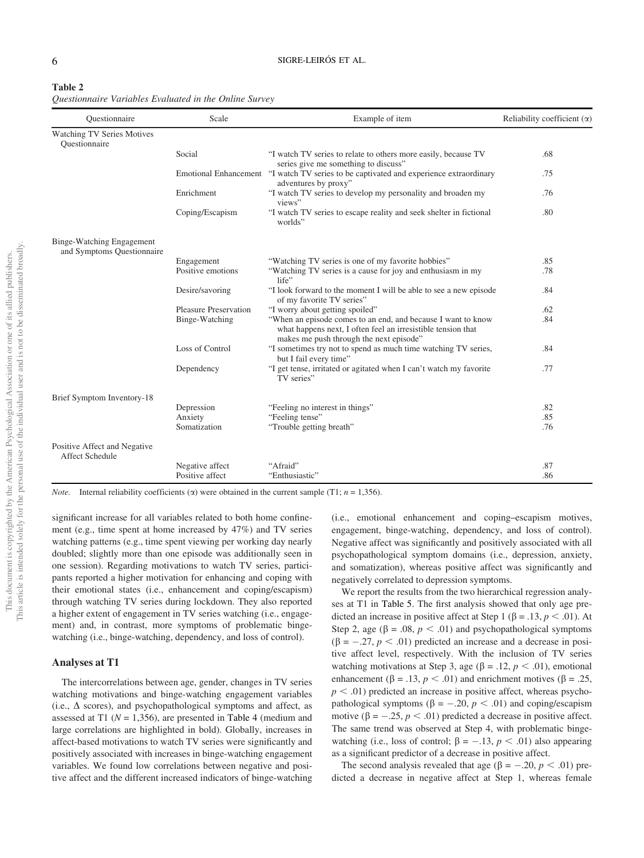| Table 2                                                |  |  |  |
|--------------------------------------------------------|--|--|--|
| Questionnaire Variables Evaluated in the Online Survey |  |  |  |

| Ouestionnaire                                           | Scale                        | Example of item                                                                                                                                                         | Reliability coefficient $(\alpha)$ |  |  |
|---------------------------------------------------------|------------------------------|-------------------------------------------------------------------------------------------------------------------------------------------------------------------------|------------------------------------|--|--|
| <b>Watching TV Series Motives</b><br>Ouestionnaire      |                              |                                                                                                                                                                         |                                    |  |  |
|                                                         | Social                       | "I watch TV series to relate to others more easily, because TV<br>series give me something to discuss"                                                                  | .68                                |  |  |
|                                                         |                              | Emotional Enhancement "I watch TV series to be captivated and experience extraordinary<br>adventures by proxy"                                                          | .75                                |  |  |
|                                                         | Enrichment                   | "I watch TV series to develop my personality and broaden my<br>views"                                                                                                   | .76                                |  |  |
|                                                         | Coping/Escapism              | "I watch TV series to escape reality and seek shelter in fictional<br>worlds"                                                                                           | .80                                |  |  |
| Binge-Watching Engagement<br>and Symptoms Questionnaire |                              |                                                                                                                                                                         |                                    |  |  |
|                                                         | Engagement                   | "Watching TV series is one of my favorite hobbies"                                                                                                                      | .85                                |  |  |
|                                                         | Positive emotions            | "Watching TV series is a cause for joy and enthusiasm in my<br>life"                                                                                                    | .78                                |  |  |
|                                                         | Desire/savoring              | "I look forward to the moment I will be able to see a new episode<br>of my favorite TV series"                                                                          | .84                                |  |  |
|                                                         | <b>Pleasure Preservation</b> | "I worry about getting spoiled"                                                                                                                                         | .62                                |  |  |
|                                                         | Binge-Watching               | "When an episode comes to an end, and because I want to know<br>what happens next, I often feel an irresistible tension that<br>makes me push through the next episode" | .84                                |  |  |
|                                                         | Loss of Control              | "I sometimes try not to spend as much time watching TV series,<br>but I fail every time"                                                                                | .84                                |  |  |
|                                                         | Dependency                   | "I get tense, irritated or agitated when I can't watch my favorite<br>TV series"                                                                                        | .77                                |  |  |
| Brief Symptom Inventory-18                              |                              |                                                                                                                                                                         |                                    |  |  |
|                                                         | Depression                   | "Feeling no interest in things"                                                                                                                                         | .82                                |  |  |
|                                                         | Anxiety                      | "Feeling tense"                                                                                                                                                         | .85                                |  |  |
|                                                         | Somatization                 | "Trouble getting breath"                                                                                                                                                | .76                                |  |  |
| Positive Affect and Negative<br>Affect Schedule         |                              |                                                                                                                                                                         |                                    |  |  |
|                                                         | Negative affect              | "Afraid"                                                                                                                                                                | .87                                |  |  |
|                                                         | Positive affect              | "Enthusiastic"                                                                                                                                                          | .86                                |  |  |

*Note.* Internal reliability coefficients ( $\alpha$ ) were obtained in the current sample (T1; n = 1,356).

significant increase for all variables related to both home confinement (e.g., time spent at home increased by 47%) and TV series watching patterns (e.g., time spent viewing per working day nearly doubled; slightly more than one episode was additionally seen in one session). Regarding motivations to watch TV series, participants reported a higher motivation for enhancing and coping with their emotional states (i.e., enhancement and coping/escapism) through watching TV series during lockdown. They also reported a higher extent of engagement in TV series watching (i.e., engagement) and, in contrast, more symptoms of problematic bingewatching (i.e., binge-watching, dependency, and loss of control).

#### Analyses at T1

The intercorrelations between age, gender, changes in TV series watching motivations and binge-watching engagement variables (i.e.,  $\Delta$  scores), and psychopathological symptoms and affect, as assessed at T1 ( $N = 1,356$ ), are presented in Table 4 (medium and large correlations are highlighted in bold). Globally, increases in affect-based motivations to watch TV series were significantly and positively associated with increases in binge-watching engagement variables. We found low correlations between negative and positive affect and the different increased indicators of binge-watching

(i.e., emotional enhancement and coping–escapism motives, engagement, binge-watching, dependency, and loss of control). Negative affect was significantly and positively associated with all psychopathological symptom domains (i.e., depression, anxiety, and somatization), whereas positive affect was significantly and negatively correlated to depression symptoms.

We report the results from the two hierarchical regression analyses at T1 in Table 5. The first analysis showed that only age predicted an increase in positive affect at Step 1 ( $\beta$  = .13,  $p$  < .01). At Step 2, age ( $\beta$  = .08,  $p < .01$ ) and psychopathological symptoms  $(\beta = -.27, p < .01)$  predicted an increase and a decrease in positive affect level, respectively. With the inclusion of TV series watching motivations at Step 3, age ( $\beta$  = .12,  $p < .01$ ), emotional enhancement ( $\beta$  = .13,  $p < .01$ ) and enrichment motives ( $\beta$  = .25,  $p < .01$ ) predicted an increase in positive affect, whereas psychopathological symptoms ( $\beta = -.20, p < .01$ ) and coping/escapism motive ( $\beta = -.25, p < .01$ ) predicted a decrease in positive affect. The same trend was observed at Step 4, with problematic bingewatching (i.e., loss of control;  $\beta = -.13$ ,  $p < .01$ ) also appearing as a significant predictor of a decrease in positive affect.

The second analysis revealed that age ( $\beta = -.20, p < .01$ ) predicted a decrease in negative affect at Step 1, whereas female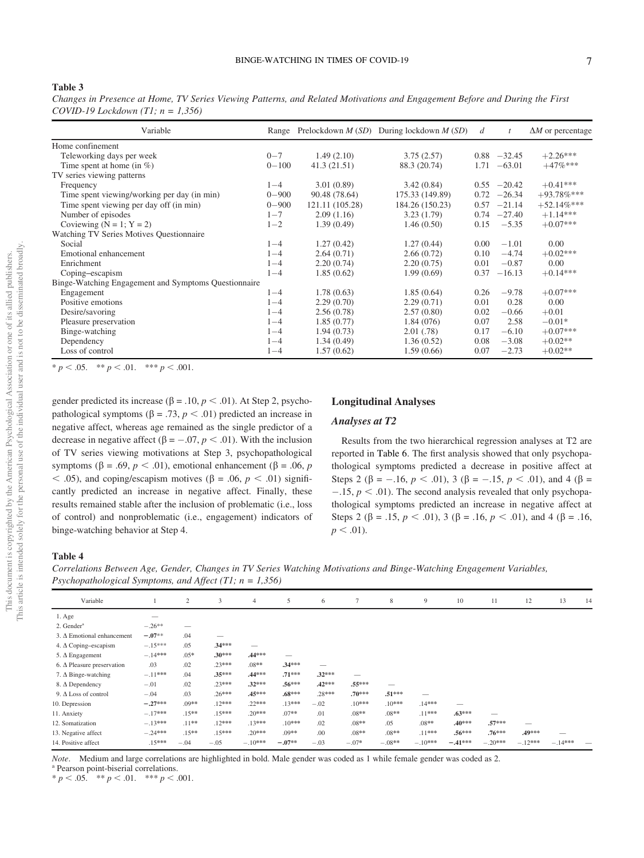#### <span id="page-7-0"></span>Table 3

Changes in Presence at Home, TV Series Viewing Patterns, and Related Motivations and Engagement Before and During the First COVID-19 Lockdown  $(T1; n = 1,356)$ 

| Variable                                             |           |                 | Range Prelockdown $M(SD)$ During lockdown $M(SD)$ | d    | t              | $\Delta M$ or percentage |
|------------------------------------------------------|-----------|-----------------|---------------------------------------------------|------|----------------|--------------------------|
| Home confinement                                     |           |                 |                                                   |      |                |                          |
| Teleworking days per week                            | $0 - 7$   | 1.49(2.10)      | 3.75(2.57)                                        |      | $0.88 - 32.45$ | $+2.26***$               |
| Time spent at home (in $\%$ )                        | $0 - 100$ | 41.3(21.51)     | 88.3 (20.74)                                      | 1.71 | $-63.01$       | $+47%***$                |
| TV series viewing patterns                           |           |                 |                                                   |      |                |                          |
| Frequency                                            | $1 - 4$   | 3.01(0.89)      | 3.42(0.84)                                        |      | $0.55 -20.42$  | $+0.41***$               |
| Time spent viewing/working per day (in min)          | $0 - 900$ | 90.48 (78.64)   | 175.33 (149.89)                                   | 0.72 | $-26.34$       | $+93.78%***$             |
| Time spent viewing per day off (in min)              | $0 - 900$ | 121.11 (105.28) | 184.26 (150.23)                                   | 0.57 | $-21.14$       | $+52.14%$ ***            |
| Number of episodes                                   | $1 - 7$   | 2.09(1.16)      | 3.23(1.79)                                        |      | $0.74 -27.40$  | $+1.14***$               |
| Coviewing $(N = 1; Y = 2)$                           | $1 - 2$   | 1.39(0.49)      | 1.46(0.50)                                        | 0.15 | $-5.35$        | $+0.07***$               |
| Watching TV Series Motives Questionnaire             |           |                 |                                                   |      |                |                          |
| Social                                               | $1 - 4$   | 1.27(0.42)      | 1.27(0.44)                                        | 0.00 | $-1.01$        | $0.00^{\circ}$           |
| Emotional enhancement                                | $1 - 4$   | 2.64(0.71)      | 2.66(0.72)                                        | 0.10 | $-4.74$        | $+0.02***$               |
| Enrichment                                           | $1 - 4$   | 2.20(0.74)      | 2.20(0.75)                                        | 0.01 | $-0.87$        | 0.00                     |
| Coping-escapism                                      | $1 - 4$   | 1.85(0.62)      | 1.99(0.69)                                        | 0.37 | $-16.13$       | $+0.14***$               |
| Binge-Watching Engagement and Symptoms Questionnaire |           |                 |                                                   |      |                |                          |
| Engagement                                           | $1 - 4$   | 1.78(0.63)      | 1.85(0.64)                                        | 0.26 | $-9.78$        | $+0.07***$               |
| Positive emotions                                    | $1 - 4$   | 2.29(0.70)      | 2.29(0.71)                                        | 0.01 | 0.28           | 0.00                     |
| Desire/savoring                                      | $1 - 4$   | 2.56(0.78)      | 2.57(0.80)                                        | 0.02 | $-0.66$        | $+0.01$                  |
| Pleasure preservation                                | $1 - 4$   | 1.85(0.77)      | 1.84(076)                                         | 0.07 | 2.58           | $-0.01*$                 |
| Binge-watching                                       | $1 - 4$   | 1.94(0.73)      | 2.01(.78)                                         | 0.17 | $-6.10$        | $+0.07***$               |
| Dependency                                           | $1 - 4$   | 1.34(0.49)      | 1.36(0.52)                                        | 0.08 | $-3.08$        | $+0.02**$                |
| Loss of control                                      | $1 - 4$   | 1.57(0.62)      | 1.59(0.66)                                        | 0.07 | $-2.73$        | $+0.02**$                |

\*  $p < .05.$  \*\*  $p < .01.$  \*\*\*  $p < .001.$ 

gender predicted its increase ( $\beta$  = .10,  $p$  < .01). At Step 2, psychopathological symptoms ( $\beta = .73$ ,  $p < .01$ ) predicted an increase in negative affect, whereas age remained as the single predictor of a decrease in negative affect ( $\beta = -.07, p < .01$ ). With the inclusion of TV series viewing motivations at Step 3, psychopathological symptoms ( $\beta$  = .69,  $p < .01$ ), emotional enhancement ( $\beta$  = .06, p  $<$  .05), and coping/escapism motives ( $\beta$  = .06,  $p < .01$ ) significantly predicted an increase in negative affect. Finally, these results remained stable after the inclusion of problematic (i.e., loss of control) and nonproblematic (i.e., engagement) indicators of binge-watching behavior at Step 4.

## Longitudinal Analyses

## Analyses at T2

Results from the two hierarchical regression analyses at T2 are reported in Table 6. The first analysis showed that only psychopathological symptoms predicted a decrease in positive affect at Steps 2 ( $\beta$  = -.16,  $p < .01$ ), 3 ( $\beta$  = -.15,  $p < .01$ ), and 4 ( $\beta$  =  $-15$ ,  $p < .01$ ). The second analysis revealed that only psychopathological symptoms predicted an increase in negative affect at Steps 2 ( $\beta$  = .15,  $p < .01$ ), 3 ( $\beta$  = .16,  $p < .01$ ), and 4 ( $\beta$  = .16,  $p < .01$ ).

#### Table 4

Correlations Between Age, Gender, Changes in TV Series Watching Motivations and Binge-Watching Engagement Variables, Psychopathological Symptoms, and Affect  $(T1; n = 1,356)$ 

| Variable                          |           | 2        | 3        | 4         | 5                        | 6        | 7        | 8        | 9         | 10        | 11        | 12        | 13        | 14 |
|-----------------------------------|-----------|----------|----------|-----------|--------------------------|----------|----------|----------|-----------|-----------|-----------|-----------|-----------|----|
| $1. \text{Age}$                   |           |          |          |           |                          |          |          |          |           |           |           |           |           |    |
| 2. Gender <sup>a</sup>            | $-.26**$  |          |          |           |                          |          |          |          |           |           |           |           |           |    |
| $3. \Delta$ Emotional enhancement | $-.07**$  | .04      |          |           |                          |          |          |          |           |           |           |           |           |    |
| 4. $\Delta$ Coping–escapism       | $-.15***$ | .05      | .34***   | _         |                          |          |          |          |           |           |           |           |           |    |
| 5. $\Delta$ Engagement            | $-.14***$ | $.05*$   | $.30***$ | .44***    | $\overline{\phantom{a}}$ |          |          |          |           |           |           |           |           |    |
| 6. $\Delta$ Pleasure preservation | .03       | .02      | .23***   | $.08**$   | $.34***$                 | –        |          |          |           |           |           |           |           |    |
| 7. $\Delta$ Binge-watching        | $-.11***$ | .04      | .35***   | .44***    | $.71***$                 | $.32***$ |          |          |           |           |           |           |           |    |
| 8. Δ Dependency                   | $-.01$    | .02      | $.23***$ | $.32***$  | $.56***$                 | $.42***$ | .55***   | –        |           |           |           |           |           |    |
| 9. $\Delta$ Loss of control       | $-.04$    | .03      | $.26***$ | $.45***$  | $.68***$                 | .28***   | $.70***$ | $.51***$ | –         |           |           |           |           |    |
| 10. Depression                    | $-.27***$ | $.09**$  | $.12***$ | .22***    | $.13***$                 | $-.02$   | $.10***$ | $.10***$ | $.14***$  |           |           |           |           |    |
| 11. Anxiety                       | $-.17***$ | $.15***$ | $.15***$ | $.20***$  | $.07**$                  | .01      | $.08**$  | $.08**$  | .11***    | $.63***$  |           |           |           |    |
| 12. Somatization                  | $-.13***$ | $.11***$ | $.12***$ | .13***    | $.10***$                 | .02      | $.08**$  | .05      | $.08**$   | $.40***$  | $.57***$  |           |           |    |
| 13. Negative affect               | $-.24***$ | $.15***$ | $.15***$ | $.20***$  | $.09**$                  | .00      | $.08**$  | $.08**$  | $.11***$  | $.56***$  | $.76***$  | .49***    |           |    |
| 14. Positive affect               | $.15***$  | $-.04$   | $-.05$   | $-.10***$ | $-.07**$                 | $-.03$   | $-.07*$  | $-.08**$ | $-.10***$ | $-.41***$ | $-.20***$ | $-.12***$ | $-.14***$ | -  |

Note. Medium and large correlations are highlighted in bold. Male gender was coded as 1 while female gender was coded as 2.<br><sup>a</sup> Pearson point-biserial correlations.

\*  $p < .05.$  \*\*  $p < .01.$  \*\*\*  $p < .001.$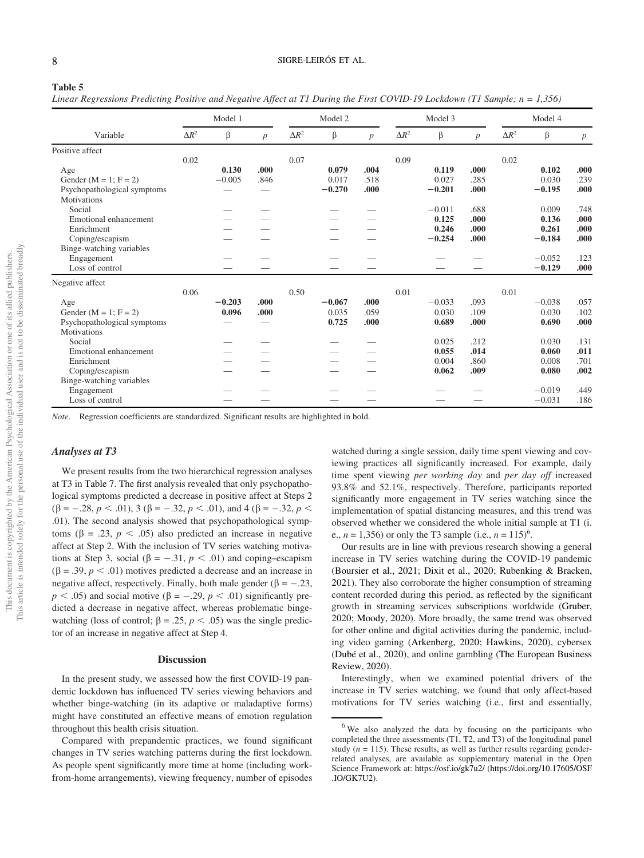#### Table 5

Linear Regressions Predicting Positive and Negative Affect at T1 During the First COVID-19 Lockdown (T1 Sample;  $n = 1,356$ )

|                              |              |          | $\cdots$         |              |          |      |              |          |      |              |          |                  |
|------------------------------|--------------|----------|------------------|--------------|----------|------|--------------|----------|------|--------------|----------|------------------|
|                              |              | Model 1  |                  |              | Model 2  |      |              | Model 3  |      |              | Model 4  |                  |
| Variable                     | $\Delta R^2$ | $\beta$  | $\boldsymbol{p}$ | $\Delta R^2$ | β        | p    | $\Delta R^2$ | β        | p    | $\Delta R^2$ | β        | $\boldsymbol{p}$ |
| Positive affect              |              |          |                  |              |          |      |              |          |      |              |          |                  |
|                              | 0.02         |          |                  | 0.07         |          |      | 0.09         |          |      | 0.02         |          |                  |
| Age                          |              | 0.130    | .000.            |              | 0.079    | .004 |              | 0.119    | .000 |              | 0.102    | .000             |
| Gender ( $M = 1$ ; $F = 2$ ) |              | $-0.005$ | .846             |              | 0.017    | .518 |              | 0.027    | .285 |              | 0.030    | .239             |
| Psychopathological symptoms  |              |          |                  |              | $-0.270$ | .000 |              | $-0.201$ | .000 |              | $-0.195$ | .000             |
| <b>Motivations</b>           |              |          |                  |              |          |      |              |          |      |              |          |                  |
| Social                       |              |          |                  |              |          |      |              | $-0.011$ | .688 |              | 0.009    | .748             |
| Emotional enhancement        |              |          |                  |              |          |      |              | 0.125    | .000 |              | 0.136    | .000             |
| Enrichment                   |              |          |                  |              |          |      |              | 0.246    | .000 |              | 0.261    | .000             |
| Coping/escapism              |              |          |                  |              |          |      |              | $-0.254$ | .000 |              | $-0.184$ | .000             |
| Binge-watching variables     |              |          |                  |              |          |      |              |          |      |              |          |                  |
| Engagement                   |              |          |                  |              |          |      |              |          |      |              | $-0.052$ | .123             |
| Loss of control              |              |          |                  |              |          |      |              |          |      |              | $-0.129$ | .000             |
| Negative affect              |              |          |                  |              |          |      |              |          |      |              |          |                  |
|                              | 0.06         |          |                  | 0.50         |          |      | 0.01         |          |      | 0.01         |          |                  |
| Age                          |              | $-0.203$ | .000.            |              | $-0.067$ | .000 |              | $-0.033$ | .093 |              | $-0.038$ | .057             |
| Gender ( $M = 1$ ; $F = 2$ ) |              | 0.096    | .000             |              | 0.035    | .059 |              | 0.030    | .109 |              | 0.030    | .102             |
| Psychopathological symptoms  |              |          |                  |              | 0.725    | .000 |              | 0.689    | .000 |              | 0.690    | .000             |
| Motivations                  |              |          |                  |              |          |      |              |          |      |              |          |                  |
| Social                       |              |          |                  |              |          |      |              | 0.025    | .212 |              | 0.030    | .131             |
| Emotional enhancement        |              |          |                  |              |          |      |              | 0.055    | .014 |              | 0.060    | .011             |
| Enrichment                   |              |          |                  |              |          |      |              | 0.004    | .860 |              | 0.008    | .701             |
| Coping/escapism              |              |          |                  |              |          |      |              | 0.062    | .009 |              | 0.080    | .002             |
| Binge-watching variables     |              |          |                  |              |          |      |              |          |      |              |          |                  |
| Engagement                   |              |          |                  |              |          |      |              |          |      |              | $-0.019$ | .449             |
| Loss of control              |              |          |                  |              |          |      |              |          |      |              | $-0.031$ | .186             |

Note. Regression coefficients are standardized. Significant results are highlighted in bold.

# Analyses at T3

We present results from the two hierarchical regression analyses at T3 in [Table 7](#page-10-0). The first analysis revealed that only psychopathological symptoms predicted a decrease in positive affect at Steps 2  $(\beta = -.28, p < .01),$  3 ( $\beta = -.32, p < .01$ ), and 4 ( $\beta = -.32, p <$ .01). The second analysis showed that psychopathological symptoms ( $\beta = .23$ ,  $p < .05$ ) also predicted an increase in negative affect at Step 2. With the inclusion of TV series watching motivations at Step 3, social ( $\beta = -.31, p < .01$ ) and coping–escapism  $(\beta = .39, p < .01)$  motives predicted a decrease and an increase in negative affect, respectively. Finally, both male gender ( $\beta = -.23$ ,  $p < .05$ ) and social motive ( $\beta = -.29, p < .01$ ) significantly predicted a decrease in negative affect, whereas problematic bingewatching (loss of control;  $\beta = .25$ ,  $p < .05$ ) was the single predictor of an increase in negative affect at Step 4.

#### **Discussion**

In the present study, we assessed how the first COVID-19 pandemic lockdown has influenced TV series viewing behaviors and whether binge-watching (in its adaptive or maladaptive forms) might have constituted an effective means of emotion regulation throughout this health crisis situation.

Compared with prepandemic practices, we found significant changes in TV series watching patterns during the first lockdown. As people spent significantly more time at home (including workfrom-home arrangements), viewing frequency, number of episodes

watched during a single session, daily time spent viewing and coviewing practices all significantly increased. For example, daily time spent viewing per working day and per day off increased 93.8% and 52.1%, respectively. Therefore, participants reported significantly more engagement in TV series watching since the implementation of spatial distancing measures, and this trend was observed whether we considered the whole initial sample at T1 (i. e.,  $n = 1,356$ ) or only the T3 sample (i.e.,  $n = 115$ )<sup>6</sup>.

Our results are in line with previous research showing a general increase in TV series watching during the COVID-19 pandemic (Boursier et al., 2021; Dixit et al., 2020; Rubenking & Bracken, 2021). They also corroborate the higher consumption of streaming content recorded during this period, as reflected by the significant growth in streaming services subscriptions worldwide (Gruber, 2020; Moody, 2020). More broadly, the same trend was observed for other online and digital activities during the pandemic, including video gaming (Arkenberg, 2020; Hawkins, 2020), cybersex (Dubé et al., 2020), and online gambling (The European Business Review, 2020).

Interestingly, when we examined potential drivers of the increase in TV series watching, we found that only affect-based motivations for TV series watching (i.e., first and essentially,

<sup>&</sup>lt;sup>6</sup>We also analyzed the data by focusing on the participants who completed the three assessments (T1, T2, and T3) of the longitudinal panel study ( $n = 115$ ). These results, as well as further results regarding genderrelated analyses, are available as supplementary material in the Open Science Framework at: <https://osf.io/gk7u2/> [\(https://doi.org/10.17605/OSF](https://doi.org/10.17605/OSF.IO/GK7U2) [.IO/GK7U2\)](https://doi.org/10.17605/OSF.IO/GK7U2).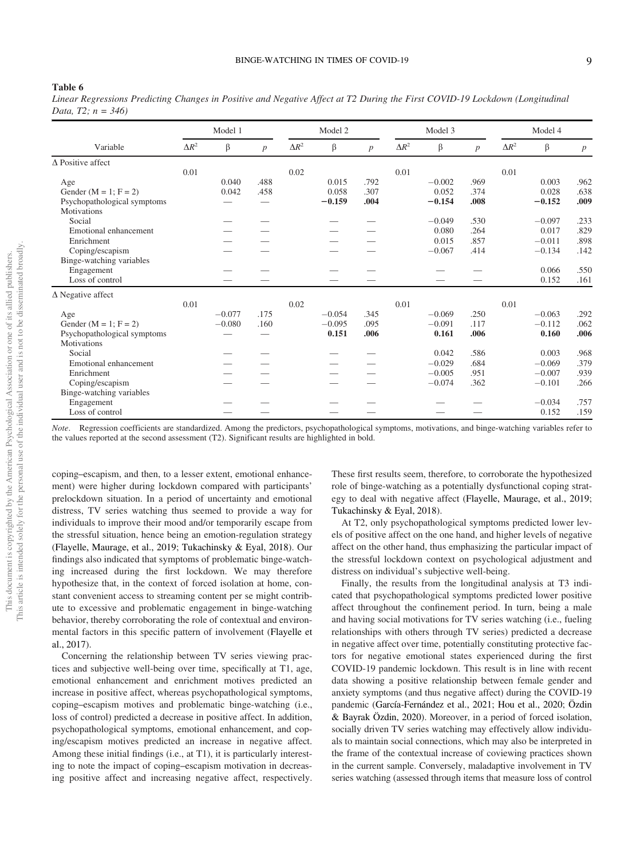#### Table 6

|                          |  |  |  |  | Linear Regressions Predicting Changes in Positive and Negative Affect at T2 During the First COVID-19 Lockdown (Longitudinal |
|--------------------------|--|--|--|--|------------------------------------------------------------------------------------------------------------------------------|
| Data, $T2$ ; $n = 346$ ) |  |  |  |  |                                                                                                                              |

|                              |              | Model 1  |                  |              | Model 2  |                  |              | Model 3  |      |              | Model 4  |                  |
|------------------------------|--------------|----------|------------------|--------------|----------|------------------|--------------|----------|------|--------------|----------|------------------|
| Variable                     | $\Delta R^2$ | β        | $\boldsymbol{p}$ | $\Delta R^2$ | β        | $\boldsymbol{p}$ | $\Delta R^2$ | $\beta$  | p    | $\Delta R^2$ | β        | $\boldsymbol{p}$ |
| $\Delta$ Positive affect     |              |          |                  |              |          |                  |              |          |      |              |          |                  |
|                              | 0.01         |          |                  | 0.02         |          |                  | 0.01         |          |      | 0.01         |          |                  |
| Age                          |              | 0.040    | .488             |              | 0.015    | .792             |              | $-0.002$ | .969 |              | 0.003    | .962             |
| Gender ( $M = 1$ ; $F = 2$ ) |              | 0.042    | .458             |              | 0.058    | .307             |              | 0.052    | .374 |              | 0.028    | .638             |
| Psychopathological symptoms  |              |          |                  |              | $-0.159$ | .004             |              | $-0.154$ | .008 |              | $-0.152$ | .009             |
| Motivations                  |              |          |                  |              |          |                  |              |          |      |              |          |                  |
| Social                       |              |          |                  |              |          |                  |              | $-0.049$ | .530 |              | $-0.097$ | .233             |
| Emotional enhancement        |              |          |                  |              |          |                  |              | 0.080    | .264 |              | 0.017    | .829             |
| Enrichment                   |              |          |                  |              |          |                  |              | 0.015    | .857 |              | $-0.011$ | .898             |
| Coping/escapism              |              |          |                  |              |          |                  |              | $-0.067$ | .414 |              | $-0.134$ | .142             |
| Binge-watching variables     |              |          |                  |              |          |                  |              |          |      |              |          |                  |
| Engagement                   |              |          |                  |              |          |                  |              |          |      |              | 0.066    | .550             |
| Loss of control              |              |          |                  |              |          | __               |              |          |      |              | 0.152    | .161             |
| $\Delta$ Negative affect     |              |          |                  |              |          |                  |              |          |      |              |          |                  |
|                              | 0.01         |          |                  | 0.02         |          |                  | 0.01         |          |      | 0.01         |          |                  |
| Age                          |              | $-0.077$ | .175             |              | $-0.054$ | .345             |              | $-0.069$ | .250 |              | $-0.063$ | .292             |
| Gender ( $M = 1$ ; $F = 2$ ) |              | $-0.080$ | .160             |              | $-0.095$ | .095             |              | $-0.091$ | .117 |              | $-0.112$ | .062             |
| Psychopathological symptoms  |              |          |                  |              | 0.151    | .006             |              | 0.161    | .006 |              | 0.160    | .006             |
| <b>Motivations</b>           |              |          |                  |              |          |                  |              |          |      |              |          |                  |
| Social                       |              |          |                  |              |          |                  |              | 0.042    | .586 |              | 0.003    | .968             |
| Emotional enhancement        |              |          |                  |              |          |                  |              | $-0.029$ | .684 |              | $-0.069$ | .379             |
| Enrichment                   |              |          |                  |              |          |                  |              | $-0.005$ | .951 |              | $-0.007$ | .939             |
| Coping/escapism              |              |          |                  |              |          |                  |              | $-0.074$ | .362 |              | $-0.101$ | .266             |
| Binge-watching variables     |              |          |                  |              |          |                  |              |          |      |              |          |                  |
| Engagement                   |              |          |                  |              |          |                  |              |          |      |              | $-0.034$ | .757             |
| Loss of control              |              |          |                  |              |          |                  |              |          |      |              | 0.152    | .159             |

Note. Regression coefficients are standardized. Among the predictors, psychopathological symptoms, motivations, and binge-watching variables refer to the values reported at the second assessment (T2). Significant results are highlighted in bold.

coping–escapism, and then, to a lesser extent, emotional enhancement) were higher during lockdown compared with participants' prelockdown situation. In a period of uncertainty and emotional distress, TV series watching thus seemed to provide a way for individuals to improve their mood and/or temporarily escape from the stressful situation, hence being an emotion-regulation strategy (Flayelle, Maurage, et al., 2019; Tukachinsky & Eyal, 2018). Our findings also indicated that symptoms of problematic binge-watching increased during the first lockdown. We may therefore hypothesize that, in the context of forced isolation at home, constant convenient access to streaming content per se might contribute to excessive and problematic engagement in binge-watching behavior, thereby corroborating the role of contextual and environmental factors in this specific pattern of involvement (Flayelle et al., 2017).

Concerning the relationship between TV series viewing practices and subjective well-being over time, specifically at T1, age, emotional enhancement and enrichment motives predicted an increase in positive affect, whereas psychopathological symptoms, coping–escapism motives and problematic binge-watching (i.e., loss of control) predicted a decrease in positive affect. In addition, psychopathological symptoms, emotional enhancement, and coping/escapism motives predicted an increase in negative affect. Among these initial findings (i.e., at T1), it is particularly interesting to note the impact of coping–escapism motivation in decreasing positive affect and increasing negative affect, respectively.

These first results seem, therefore, to corroborate the hypothesized role of binge-watching as a potentially dysfunctional coping strategy to deal with negative affect (Flayelle, Maurage, et al., 2019; Tukachinsky & Eyal, 2018).

At T2, only psychopathological symptoms predicted lower levels of positive affect on the one hand, and higher levels of negative affect on the other hand, thus emphasizing the particular impact of the stressful lockdown context on psychological adjustment and distress on individual's subjective well-being.

Finally, the results from the longitudinal analysis at T3 indicated that psychopathological symptoms predicted lower positive affect throughout the confinement period. In turn, being a male and having social motivations for TV series watching (i.e., fueling relationships with others through TV series) predicted a decrease in negative affect over time, potentially constituting protective factors for negative emotional states experienced during the first COVID-19 pandemic lockdown. This result is in line with recent data showing a positive relationship between female gender and anxiety symptoms (and thus negative affect) during the COVID-19 pandemic (García-Fernández et al., 2021; Hou et al., 2020; Özdin & Bayrak Özdin, 2020). Moreover, in a period of forced isolation, socially driven TV series watching may effectively allow individuals to maintain social connections, which may also be interpreted in the frame of the contextual increase of coviewing practices shown in the current sample. Conversely, maladaptive involvement in TV series watching (assessed through items that measure loss of control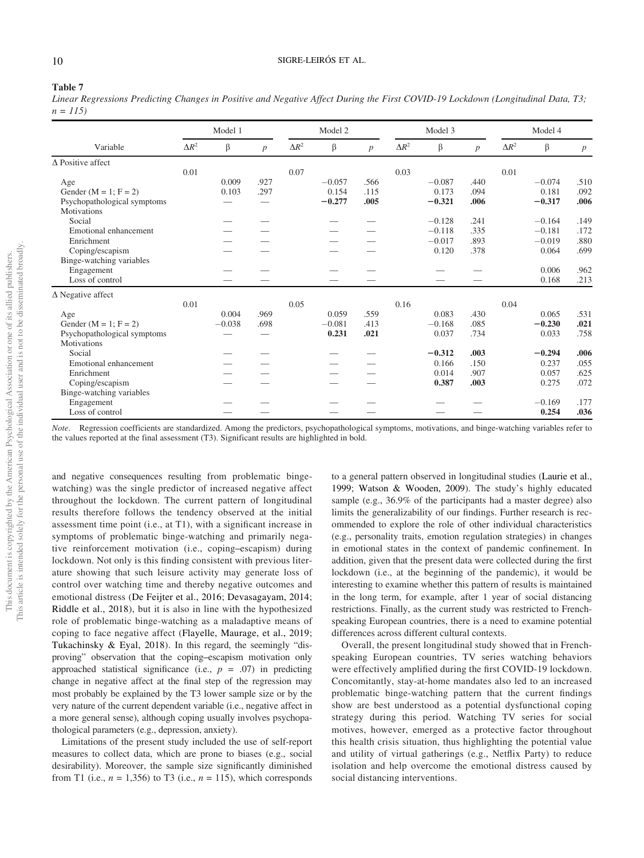#### 10 SIGRE-LEIRÓS ET AL.

#### <span id="page-10-0"></span>Table 7

Linear Regressions Predicting Changes in Positive and Negative Affect During the First COVID-19 Lockdown (Longitudinal Data, T3;  $n = 115$ 

|                              | Model 1      |          |      |              | Model 2  |                  |              | Model 3  |      |              | Model 4  |      |
|------------------------------|--------------|----------|------|--------------|----------|------------------|--------------|----------|------|--------------|----------|------|
| Variable                     | $\Delta R^2$ | β        | p    | $\Delta R^2$ | β        | $\boldsymbol{p}$ | $\Delta R^2$ | β        | p    | $\Delta R^2$ | β        | p    |
| $\Delta$ Positive affect     |              |          |      |              |          |                  |              |          |      |              |          |      |
|                              | 0.01         |          |      | 0.07         |          |                  | 0.03         |          |      | 0.01         |          |      |
| Age                          |              | 0.009    | .927 |              | $-0.057$ | .566             |              | $-0.087$ | .440 |              | $-0.074$ | .510 |
| Gender ( $M = 1$ ; $F = 2$ ) |              | 0.103    | .297 |              | 0.154    | .115             |              | 0.173    | .094 |              | 0.181    | .092 |
| Psychopathological symptoms  |              |          |      |              | $-0.277$ | .005             |              | $-0.321$ | .006 |              | $-0.317$ | .006 |
| Motivations                  |              |          |      |              |          |                  |              |          |      |              |          |      |
| Social                       |              |          |      |              |          |                  |              | $-0.128$ | .241 |              | $-0.164$ | .149 |
| Emotional enhancement        |              |          |      |              |          |                  |              | $-0.118$ | .335 |              | $-0.181$ | .172 |
| Enrichment                   |              |          |      |              |          |                  |              | $-0.017$ | .893 |              | $-0.019$ | .880 |
| Coping/escapism              |              |          |      |              |          |                  |              | 0.120    | .378 |              | 0.064    | .699 |
| Binge-watching variables     |              |          |      |              |          |                  |              |          |      |              |          |      |
| Engagement                   |              |          |      |              |          |                  |              |          |      |              | 0.006    | .962 |
| Loss of control              |              |          |      |              |          |                  |              |          |      |              | 0.168    | .213 |
| $\Delta$ Negative affect     |              |          |      |              |          |                  |              |          |      |              |          |      |
|                              | 0.01         |          |      | 0.05         |          |                  | 0.16         |          |      | 0.04         |          |      |
| Age                          |              | 0.004    | .969 |              | 0.059    | .559             |              | 0.083    | .430 |              | 0.065    | .531 |
| Gender ( $M = 1$ ; $F = 2$ ) |              | $-0.038$ | .698 |              | $-0.081$ | .413             |              | $-0.168$ | .085 |              | $-0.230$ | .021 |
| Psychopathological symptoms  |              |          |      |              | 0.231    | .021             |              | 0.037    | .734 |              | 0.033    | .758 |
| Motivations                  |              |          |      |              |          |                  |              |          |      |              |          |      |
| Social                       |              |          |      |              |          |                  |              | $-0.312$ | .003 |              | $-0.294$ | .006 |
| Emotional enhancement        |              |          |      |              |          |                  |              | 0.166    | .150 |              | 0.237    | .055 |
| Enrichment                   |              |          |      |              |          |                  |              | 0.014    | .907 |              | 0.057    | .625 |
| Coping/escapism              |              |          |      |              |          |                  |              | 0.387    | .003 |              | 0.275    | .072 |
| Binge-watching variables     |              |          |      |              |          |                  |              |          |      |              |          |      |
| Engagement                   |              |          |      |              |          |                  |              |          |      |              | $-0.169$ | .177 |
| Loss of control              |              |          |      |              |          |                  |              |          |      |              | 0.254    | .036 |

Note. Regression coefficients are standardized. Among the predictors, psychopathological symptoms, motivations, and binge-watching variables refer to the values reported at the final assessment (T3). Significant results are highlighted in bold.

and negative consequences resulting from problematic bingewatching) was the single predictor of increased negative affect throughout the lockdown. The current pattern of longitudinal results therefore follows the tendency observed at the initial assessment time point (i.e., at T1), with a significant increase in symptoms of problematic binge-watching and primarily negative reinforcement motivation (i.e., coping–escapism) during lockdown. Not only is this finding consistent with previous literature showing that such leisure activity may generate loss of control over watching time and thereby negative outcomes and emotional distress (De Feijter et al., 2016; Devasagayam, 2014; Riddle et al., 2018), but it is also in line with the hypothesized role of problematic binge-watching as a maladaptive means of coping to face negative affect (Flayelle, Maurage, et al., 2019; Tukachinsky & Eyal, 2018). In this regard, the seemingly "disproving" observation that the coping–escapism motivation only approached statistical significance (i.e.,  $p = .07$ ) in predicting change in negative affect at the final step of the regression may most probably be explained by the T3 lower sample size or by the very nature of the current dependent variable (i.e., negative affect in a more general sense), although coping usually involves psychopathological parameters (e.g., depression, anxiety).

Limitations of the present study included the use of self-report measures to collect data, which are prone to biases (e.g., social desirability). Moreover, the sample size significantly diminished from T1 (i.e.,  $n = 1,356$ ) to T3 (i.e.,  $n = 115$ ), which corresponds to a general pattern observed in longitudinal studies (Laurie et al., 1999; Watson & Wooden, 2009). The study's highly educated sample (e.g., 36.9% of the participants had a master degree) also limits the generalizability of our findings. Further research is recommended to explore the role of other individual characteristics (e.g., personality traits, emotion regulation strategies) in changes in emotional states in the context of pandemic confinement. In addition, given that the present data were collected during the first lockdown (i.e., at the beginning of the pandemic), it would be interesting to examine whether this pattern of results is maintained in the long term, for example, after 1 year of social distancing restrictions. Finally, as the current study was restricted to Frenchspeaking European countries, there is a need to examine potential differences across different cultural contexts.

Overall, the present longitudinal study showed that in Frenchspeaking European countries, TV series watching behaviors were effectively amplified during the first COVID-19 lockdown. Concomitantly, stay-at-home mandates also led to an increased problematic binge-watching pattern that the current findings show are best understood as a potential dysfunctional coping strategy during this period. Watching TV series for social motives, however, emerged as a protective factor throughout this health crisis situation, thus highlighting the potential value and utility of virtual gatherings (e.g., Netflix Party) to reduce isolation and help overcome the emotional distress caused by social distancing interventions.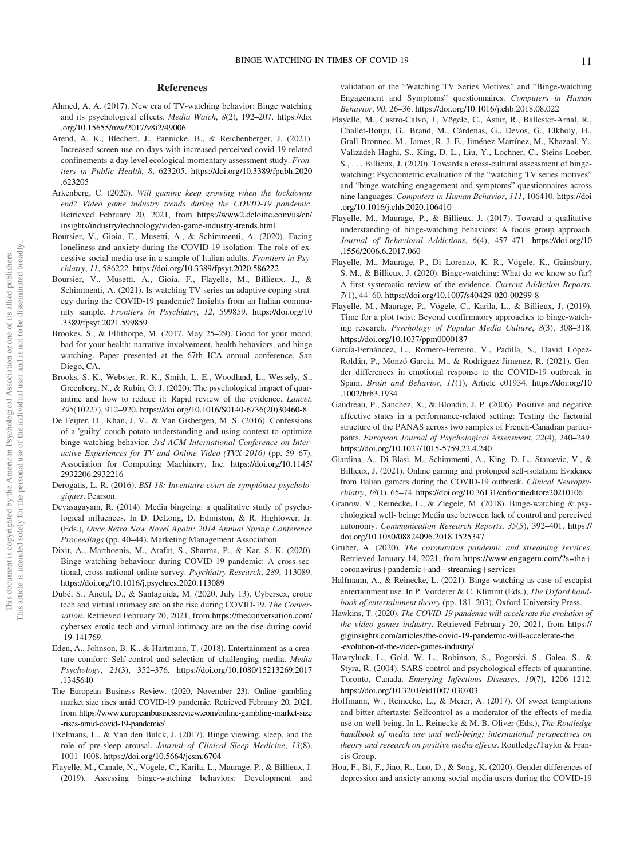# References

- Ahmed, A. A. (2017). New era of TV-watching behavior: Binge watching and its psychological effects. Media Watch, 8(2), 192–207. [https://doi](https://doi.org/10.15655/mw/2017/v8i2/49006) [.org/10.15655/mw/2017/v8i2/49006](https://doi.org/10.15655/mw/2017/v8i2/49006)
- Arend, A. K., Blechert, J., Pannicke, B., & Reichenberger, J. (2021). Increased screen use on days with increased perceived covid-19-related confinements-a day level ecological momentary assessment study. Frontiers in Public Health, 8, 623205. [https://doi.org/10.3389/fpubh.2020](https://doi.org/10.3389/fpubh.2020.623205) [.623205](https://doi.org/10.3389/fpubh.2020.623205)
- Arkenberg, C. (2020). Will gaming keep growing when the lockdowns end? Video game industry trends during the COVID-19 pandemic. Retrieved February 20, 2021, from [https://www2.deloitte.com/us/en/](https://www2.deloitte.com/us/en/insights/industry/technology/video-game-industry-trends.html) [insights/industry/technology/video-game-industry-trends.html](https://www2.deloitte.com/us/en/insights/industry/technology/video-game-industry-trends.html)
- Boursier, V., Gioia, F., Musetti, A., & Schimmenti, A. (2020). Facing loneliness and anxiety during the COVID-19 isolation: The role of excessive social media use in a sample of Italian adults. Frontiers in Psychiatry, 11, 586222. <https://doi.org/10.3389/fpsyt.2020.586222>
- Boursier, V., Musetti, A., Gioia, F., Flayelle, M., Billieux, J., & Schimmenti, A. (2021). Is watching TV series an adaptive coping strategy during the COVID-19 pandemic? Insights from an Italian community sample. Frontiers in Psychiatry, 12, 599859. [https://doi.org/10](https://doi.org/10.3389/fpsyt.2021.599859) [.3389/fpsyt.2021.599859](https://doi.org/10.3389/fpsyt.2021.599859)
- Brookes, S., & Ellithorpe, M. (2017, May 25–29). Good for your mood, bad for your health: narrative involvement, health behaviors, and binge watching. Paper presented at the 67th ICA annual conference, San Diego, CA.
- Brooks, S. K., Webster, R. K., Smith, L. E., Woodland, L., Wessely, S., Greenberg, N., & Rubin, G. J. (2020). The psychological impact of quarantine and how to reduce it: Rapid review of the evidence. Lancet, 395(10227), 912–920. [https://doi.org/10.1016/S0140-6736\(20\)30460-8](https://doi.org/10.1016/S0140-6736(20)30460-8)
- De Feijter, D., Khan, J. V., & Van Gisbergen, M. S. (2016). Confessions of a 'guilty' couch potato understanding and using context to optimize binge-watching behavior. 3rd ACM International Conference on Interactive Experiences for TV and Online Video (TVX 2016) (pp. 59–67). Association for Computing Machinery, Inc. [https://doi.org/10.1145/](https://doi.org/10.1145/2932206.2932216) [2932206.2932216](https://doi.org/10.1145/2932206.2932216)
- Derogatis, L. R. (2016). BSI-18: Inventaire court de symptômes psychologiques. Pearson.
- Devasagayam, R. (2014). Media bingeing: a qualitative study of psychological influences. In D. DeLong, D. Edmiston, & R. Hightower, Jr. (Eds.), Once Retro Now Novel Again: 2014 Annual Spring Conference Proceedings (pp. 40–44). Marketing Management Association.
- Dixit, A., Marthoenis, M., Arafat, S., Sharma, P., & Kar, S. K. (2020). Binge watching behaviour during COVID 19 pandemic: A cross-sectional, cross-national online survey. Psychiatry Research, 289, 113089. <https://doi.org/10.1016/j.psychres.2020.113089>
- Dubé, S., Anctil, D., & Santaguida, M. (2020, July 13). Cybersex, erotic tech and virtual intimacy are on the rise during COVID-19. The Conversation. Retrieved February 20, 2021, from [https://theconversation.com/](https://theconversation.com/cybersex-erotic-tech-and-virtual-intimacy-are-on-the-rise-during-covid-19-141769) [cybersex-erotic-tech-and-virtual-intimacy-are-on-the-rise-during-covid](https://theconversation.com/cybersex-erotic-tech-and-virtual-intimacy-are-on-the-rise-during-covid-19-141769) [-19-141769](https://theconversation.com/cybersex-erotic-tech-and-virtual-intimacy-are-on-the-rise-during-covid-19-141769).
- Eden, A., Johnson, B. K., & Hartmann, T. (2018). Entertainment as a creature comfort: Self-control and selection of challenging media. Media Psychology, 21(3), 352–376. [https://doi.org/10.1080/15213269.2017](https://doi.org/10.1080/15213269.2017.1345640) [.1345640](https://doi.org/10.1080/15213269.2017.1345640)
- The European Business Review. (2020, November 23). Online gambling market size rises amid COVID-19 pandemic. Retrieved February 20, 2021, from [https://www.europeanbusinessreview.com/online-gambling-market-size](https://www.europeanbusinessreview.com/online-gambling-market-size-rises-amid-covid-19-pandemic/) [-rises-amid-covid-19-pandemic/](https://www.europeanbusinessreview.com/online-gambling-market-size-rises-amid-covid-19-pandemic/)
- Exelmans, L., & Van den Bulck, J. (2017). Binge viewing, sleep, and the role of pre-sleep arousal. Journal of Clinical Sleep Medicine, 13(8), 1001–1008. <https://doi.org/10.5664/jcsm.6704>
- Flayelle, M., Canale, N., Vögele, C., Karila, L., Maurage, P., & Billieux, J. (2019). Assessing binge-watching behaviors: Development and

validation of the "Watching TV Series Motives" and "Binge-watching Engagement and Symptoms" questionnaires. Computers in Human Behavior, 90, 26–36. <https://doi.org/10.1016/j.chb.2018.08.022>

- Flayelle, M., Castro-Calvo, J., Vögele, C., Astur, R., Ballester-Arnal, R., Challet-Bouju, G., Brand, M., Cárdenas, G., Devos, G., Elkholy, H., Grall-Bronnec, M., James, R. J. E., Jiménez-Martínez, M., Khazaal, Y., Valizadeh-Haghi, S., King, D. L., Liu, Y., Lochner, C., Steins-Loeber, S., . . . Billieux, J. (2020). Towards a cross-cultural assessment of bingewatching: Psychometric evaluation of the "watching TV series motives" and "binge-watching engagement and symptoms" questionnaires across nine languages. Computers in Human Behavior, 111, 106410. [https://doi](https://doi.org/10.1016/j.chb.2020.106410) [.org/10.1016/j.chb.2020.106410](https://doi.org/10.1016/j.chb.2020.106410)
- Flayelle, M., Maurage, P., & Billieux, J. (2017). Toward a qualitative understanding of binge-watching behaviors: A focus group approach. Journal of Behavioral Addictions, 6(4), 457–471. [https://doi.org/10](https://doi.org/10.1556/2006.6.2017.060) [.1556/2006.6.2017.060](https://doi.org/10.1556/2006.6.2017.060)
- Flayelle, M., Maurage, P., Di Lorenzo, K. R., Vögele, K., Gainsbury, S. M., & Billieux, J. (2020). Binge-watching: What do we know so far? A first systematic review of the evidence. Current Addiction Reports, 7(1), 44–60. <https://doi.org/10.1007/s40429-020-00299-8>
- Flayelle, M., Maurage, P., Vögele, C., Karila, L., & Billieux, J. (2019). Time for a plot twist: Beyond confirmatory approaches to binge-watching research. Psychology of Popular Media Culture, 8(3), 308–318. <https://doi.org/10.1037/ppm0000187>
- García-Fernández, L., Romero-Ferreiro, V., Padilla, S., David López-Roldán, P., Monzó-García, M., & Rodriguez-Jimenez, R. (2021). Gender differences in emotional response to the COVID-19 outbreak in Spain. Brain and Behavior, 11(1), Article e01934. [https://doi.org/10](https://doi.org/10.1002/brb3.1934) [.1002/brb3.1934](https://doi.org/10.1002/brb3.1934)
- Gaudreau, P., Sanchez, X., & Blondin, J. P. (2006). Positive and negative affective states in a performance-related setting: Testing the factorial structure of the PANAS across two samples of French-Canadian participants. European Journal of Psychological Assessment, 22(4), 240–249. <https://doi.org/10.1027/1015-5759.22.4.240>
- Giardina, A., Di Blasi, M., Schimmenti, A., King, D. L., Starcevic, V., & Billieux, J. (2021). Online gaming and prolonged self-isolation: Evidence from Italian gamers during the COVID-19 outbreak. Clinical Neuropsychiatry, 18(1), 65–74. <https://doi.org/10.36131/cnfioritieditore20210106>
- Granow, V., Reinecke, L., & Ziegele, M. (2018). Binge-watching & psychological well- being: Media use between lack of control and perceived autonomy. Communication Research Reports, 35(5), 392–401. [https://](https://doi.org/10.1080/08824096.2018.1525347) [doi.org/10.1080/08824096.2018.1525347](https://doi.org/10.1080/08824096.2018.1525347)
- Gruber, A. (2020). The coronavirus pandemic and streaming services. Retrieved January 14, 2021, from [https://www.engagetu.com/?s=the](https://www.engagetu.com/?s=the&hx002B;coronavirus&hx002B;pandemic&hx002B;and&hx002B;streaming&hx002B;services)+ [coronavirus](https://www.engagetu.com/?s=the&hx002B;coronavirus&hx002B;pandemic&hx002B;and&hx002B;streaming&hx002B;services)+pandemic+and+streaming+services
- Halfmann, A., & Reinecke, L. (2021). Binge-watching as case of escapist entertainment use. In P. Vorderer & C. Klimmt (Eds.), The Oxford handbook of entertainment theory (pp. 181–203). Oxford University Press.
- Hawkins, T. (2020). The COVID-19 pandemic will accelerate the evolution of the video games industry. Retrieved February 20, 2021, from [https://](https://glginsights.com/articles/the-covid-19-pandemic-will-accelerate-the-evolution-of-the-video-games-industry/) [glginsights.com/articles/the-covid-19-pandemic-will-accelerate-the](https://glginsights.com/articles/the-covid-19-pandemic-will-accelerate-the-evolution-of-the-video-games-industry/) [-evolution-of-the-video-games-industry/](https://glginsights.com/articles/the-covid-19-pandemic-will-accelerate-the-evolution-of-the-video-games-industry/)
- Hawryluck, L., Gold, W. L., Robinson, S., Pogorski, S., Galea, S., & Styra, R. (2004). SARS control and psychological effects of quarantine, Toronto, Canada. Emerging Infectious Diseases, 10(7), 1206–1212. <https://doi.org/10.3201/eid1007.030703>
- Hoffmann, W., Reinecke, L., & Meier, A. (2017). Of sweet temptations and bitter aftertaste: Selfcontrol as a moderator of the effects of media use on well-being. In L. Reinecke & M. B. Oliver (Eds.), The Routledge handbook of media use and well-being: international perspectives on theory and research on positive media effects. Routledge/Taylor & Francis Group.
- Hou, F., Bi, F., Jiao, R., Luo, D., & Song, K. (2020). Gender differences of depression and anxiety among social media users during the COVID-19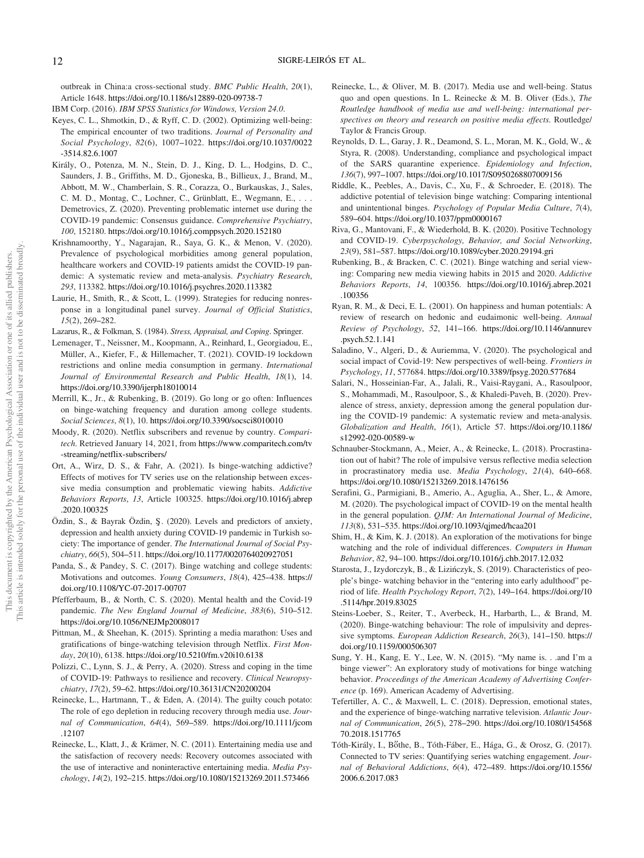outbreak in China:a cross-sectional study. BMC Public Health, 20(1), Article 1648. <https://doi.org/10.1186/s12889-020-09738-7>

- Keyes, C. L., Shmotkin, D., & Ryff, C. D. (2002). Optimizing well-being: The empirical encounter of two traditions. Journal of Personality and Social Psychology, 82(6), 1007–1022. [https://doi.org/10.1037/0022](https://doi.org/10.1037/0022-3514.82.6.1007) [-3514.82.6.1007](https://doi.org/10.1037/0022-3514.82.6.1007)
- Király, O., Potenza, M. N., Stein, D. J., King, D. L., Hodgins, D. C., Saunders, J. B., Griffiths, M. D., Gjoneska, B., Billieux, J., Brand, M., Abbott, M. W., Chamberlain, S. R., Corazza, O., Burkauskas, J., Sales, C. M. D., Montag, C., Lochner, C., Grünblatt, E., Wegmann, E., . . . Demetrovics, Z. (2020). Preventing problematic internet use during the COVID-19 pandemic: Consensus guidance. Comprehensive Psychiatry, 100, 152180. <https://doi.org/10.1016/j.comppsych.2020.152180>
- Krishnamoorthy, Y., Nagarajan, R., Saya, G. K., & Menon, V. (2020). Prevalence of psychological morbidities among general population, healthcare workers and COVID-19 patients amidst the COVID-19 pandemic: A systematic review and meta-analysis. Psychiatry Research, 293, 113382. <https://doi.org/10.1016/j.psychres.2020.113382>
- Laurie, H., Smith, R., & Scott, L. (1999). Strategies for reducing nonresponse in a longitudinal panel survey. Journal of Official Statistics, 15(2), 269–282.
- Lazarus, R., & Folkman, S. (1984). Stress, Appraisal, and Coping. Springer.
- Lemenager, T., Neissner, M., Koopmann, A., Reinhard, I., Georgiadou, E., Müller, A., Kiefer, F., & Hillemacher, T. (2021). COVID-19 lockdown restrictions and online media consumption in germany. International Journal of Environmental Research and Public Health, 18(1), 14. <https://doi.org/10.3390/ijerph18010014>
- Merrill, K., Jr., & Rubenking, B. (2019). Go long or go often: Influences on binge-watching frequency and duration among college students. Social Sciences, 8(1), 10. <https://doi.org/10.3390/socsci8010010>
- Moody, R. (2020). Netflix subscribers and revenue by country. Comparitech. Retrieved January 14, 2021, from [https://www.comparitech.com/tv](https://www.comparitech.com/tv-streaming/netflix-subscribers/) [-streaming/netflix-subscribers/](https://www.comparitech.com/tv-streaming/netflix-subscribers/)
- Ort, A., Wirz, D. S., & Fahr, A. (2021). Is binge-watching addictive? Effects of motives for TV series use on the relationship between excessive media consumption and problematic viewing habits. Addictive Behaviors Reports, 13, Article 100325. [https://doi.org/10.1016/j.abrep](https://doi.org/10.1016/j.abrep.2020.100325) [.2020.100325](https://doi.org/10.1016/j.abrep.2020.100325)
- Özdin, S., & Bayrak Özdin, Ş. (2020). Levels and predictors of anxiety, depression and health anxiety during COVID-19 pandemic in Turkish society: The importance of gender. The International Journal of Social Psychiatry, 66(5), 504–511. <https://doi.org/10.1177/0020764020927051>
- Panda, S., & Pandey, S. C. (2017). Binge watching and college students: Motivations and outcomes. Young Consumers, 18(4), 425–438. [https://](https://doi.org/10.1108/YC-07-2017-00707) [doi.org/10.1108/YC-07-2017-00707](https://doi.org/10.1108/YC-07-2017-00707)
- Pfefferbaum, B., & North, C. S. (2020). Mental health and the Covid-19 pandemic. The New England Journal of Medicine, 383(6), 510–512. <https://doi.org/10.1056/NEJMp2008017>
- Pittman, M., & Sheehan, K. (2015). Sprinting a media marathon: Uses and gratifications of binge-watching television through Netflix. First Monday, 20(10), 6138. <https://doi.org/10.5210/fm.v20i10.6138>
- Polizzi, C., Lynn, S. J., & Perry, A. (2020). Stress and coping in the time of COVID-19: Pathways to resilience and recovery. Clinical Neuropsychiatry, 17(2), 59–62. <https://doi.org/10.36131/CN20200204>
- Reinecke, L., Hartmann, T., & Eden, A. (2014). The guilty couch potato: The role of ego depletion in reducing recovery through media use. Journal of Communication, 64(4), 569–589. [https://doi.org/10.1111/jcom](https://doi.org/10.1111/jcom.12107) [.12107](https://doi.org/10.1111/jcom.12107)
- Reinecke, L., Klatt, J., & Krämer, N. C. (2011). Entertaining media use and the satisfaction of recovery needs: Recovery outcomes associated with the use of interactive and noninteractive entertaining media. Media Psychology, 14(2), 192–215. <https://doi.org/10.1080/15213269.2011.573466>
- Reinecke, L., & Oliver, M. B. (2017). Media use and well-being. Status quo and open questions. In L. Reinecke & M. B. Oliver (Eds.), The Routledge handbook of media use and well-being: international perspectives on theory and research on positive media effects. Routledge/ Taylor & Francis Group.
- Reynolds, D. L., Garay, J. R., Deamond, S. L., Moran, M. K., Gold, W., & Styra, R. (2008). Understanding, compliance and psychological impact of the SARS quarantine experience. Epidemiology and Infection, 136(7), 997–1007. <https://doi.org/10.1017/S0950268807009156>
- Riddle, K., Peebles, A., Davis, C., Xu, F., & Schroeder, E. (2018). The addictive potential of television binge watching: Comparing intentional and unintentional binges. Psychology of Popular Media Culture, 7(4), 589–604. <https://doi.org/10.1037/ppm0000167>
- Riva, G., Mantovani, F., & Wiederhold, B. K. (2020). Positive Technology and COVID-19. Cyberpsychology, Behavior, and Social Networking, 23(9), 581–587. <https://doi.org/10.1089/cyber.2020.29194.gri>
- Rubenking, B., & Bracken, C. C. (2021). Binge watching and serial viewing: Comparing new media viewing habits in 2015 and 2020. Addictive Behaviors Reports, 14, 100356. [https://doi.org/10.1016/j.abrep.2021](https://doi.org/10.1016/j.abrep.2021.100356) [.100356](https://doi.org/10.1016/j.abrep.2021.100356)
- Ryan, R. M., & Deci, E. L. (2001). On happiness and human potentials: A review of research on hedonic and eudaimonic well-being. Annual Review of Psychology, 52, 141–166. [https://doi.org/10.1146/annurev](https://doi.org/10.1146/annurev.psych.52.1.141) [.psych.52.1.141](https://doi.org/10.1146/annurev.psych.52.1.141)
- Saladino, V., Algeri, D., & Auriemma, V. (2020). The psychological and social impact of Covid-19: New perspectives of well-being. Frontiers in Psychology, 11, 577684. <https://doi.org/10.3389/fpsyg.2020.577684>
- Salari, N., Hosseinian-Far, A., Jalali, R., Vaisi-Raygani, A., Rasoulpoor, S., Mohammadi, M., Rasoulpoor, S., & Khaledi-Paveh, B. (2020). Prevalence of stress, anxiety, depression among the general population during the COVID-19 pandemic: A systematic review and meta-analysis. Globalization and Health, 16(1), Article 57. [https://doi.org/10.1186/](https://doi.org/10.1186/s12992-020-00589-w) [s12992-020-00589-w](https://doi.org/10.1186/s12992-020-00589-w)
- Schnauber-Stockmann, A., Meier, A., & Reinecke, L. (2018). Procrastination out of habit? The role of impulsive versus reflective media selection in procrastinatory media use. Media Psychology, 21(4), 640–668. <https://doi.org/10.1080/15213269.2018.1476156>
- Serafini, G., Parmigiani, B., Amerio, A., Aguglia, A., Sher, L., & Amore, M. (2020). The psychological impact of COVID-19 on the mental health in the general population. QJM: An International Journal of Medicine, 113(8), 531–535. <https://doi.org/10.1093/qjmed/hcaa201>
- Shim, H., & Kim, K. J. (2018). An exploration of the motivations for binge watching and the role of individual differences. Computers in Human Behavior, 82, 94–100. <https://doi.org/10.1016/j.chb.2017.12.032>
- Starosta, J., Izydorczyk, B., & Lizinczyk, S. (2019). Characteristics of people's binge- watching behavior in the "entering into early adulthood" period of life. Health Psychology Report, 7(2), 149–164. [https://doi.org/10](https://doi.org/10.5114/hpr.2019.83025) [.5114/hpr.2019.83025](https://doi.org/10.5114/hpr.2019.83025)
- Steins-Loeber, S., Reiter, T., Averbeck, H., Harbarth, L., & Brand, M. (2020). Binge-watching behaviour: The role of impulsivity and depressive symptoms. European Addiction Research, 26(3), 141-150. [https://](https://doi.org/10.1159/000506307) [doi.org/10.1159/000506307](https://doi.org/10.1159/000506307)
- Sung, Y. H., Kang, E. Y., Lee, W. N. (2015). "My name is. . .and I'm a binge viewer": An exploratory study of motivations for binge watching behavior. Proceedings of the American Academy of Advertising Conference (p. 169). American Academy of Advertising.
- Tefertiller, A. C., & Maxwell, L. C. (2018). Depression, emotional states, and the experience of binge-watching narrative television. Atlantic Journal of Communication, 26(5), 278–290. [https://doi.org/10.1080/154568](https://doi.org/10.1080/15456870.2018.1517765) [70.2018.1517765](https://doi.org/10.1080/15456870.2018.1517765)
- Tóth-Király, I., Bőthe, B., Tóth-Fáber, E., Hága, G., & Orosz, G. (2017). Connected to TV series: Quantifying series watching engagement. Journal of Behavioral Addictions, 6(4), 472–489. [https://doi.org/10.1556/](https://doi.org/10.1556/2006.6.2017.083) [2006.6.2017.083](https://doi.org/10.1556/2006.6.2017.083)

IBM Corp. (2016). IBM SPSS Statistics for Windows, Version 24.0.